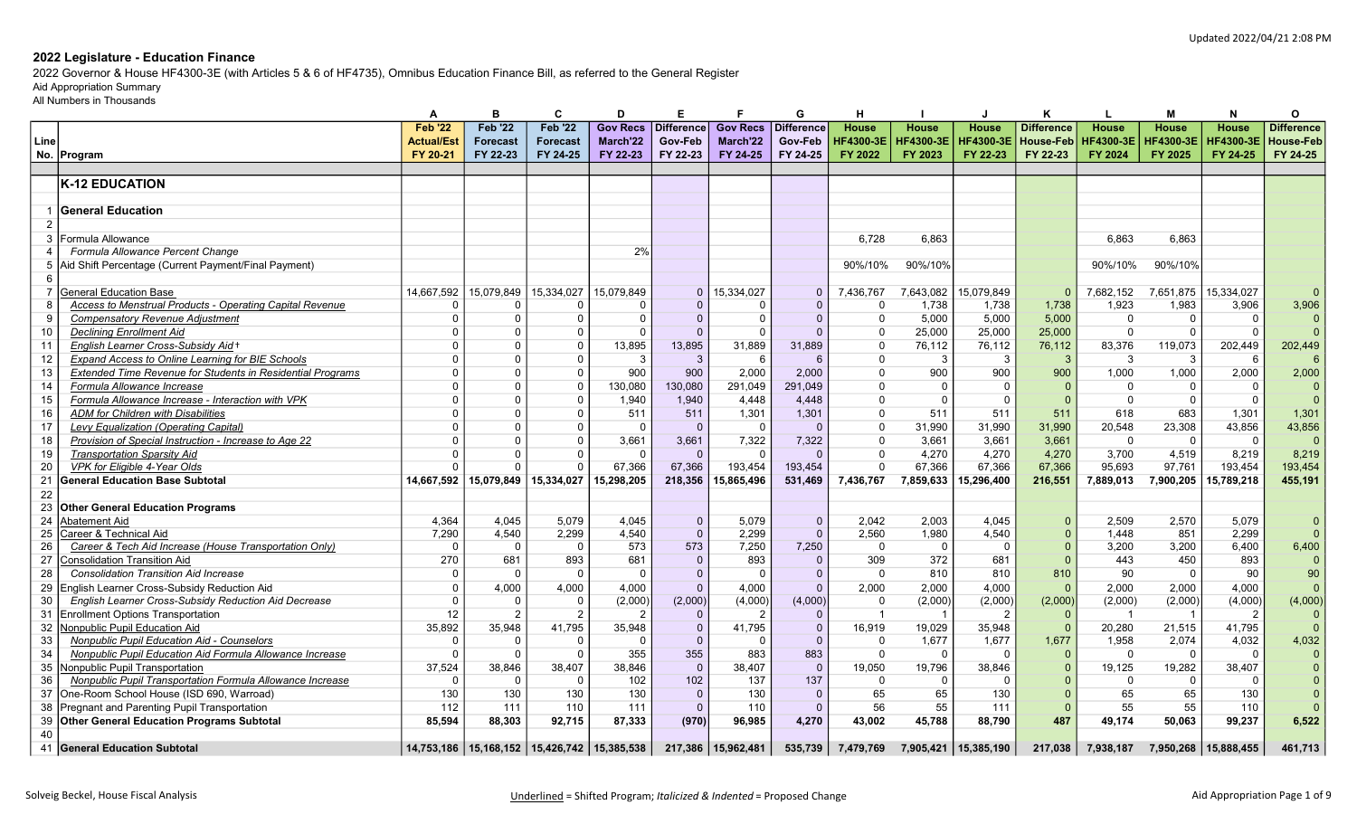2022 Governor & House HF4300-3E (with Articles 5 & 6 of HF4735), Omnibus Education Finance Bill, as referred to the General Register

# Aid Appropriation Summary

|                 |                                                            | А                 | в                                                 | C               | D               | Е              |                      | G            | н                |                  |                  | Κ                 | L                | м                | N                | O                 |
|-----------------|------------------------------------------------------------|-------------------|---------------------------------------------------|-----------------|-----------------|----------------|----------------------|--------------|------------------|------------------|------------------|-------------------|------------------|------------------|------------------|-------------------|
|                 |                                                            | <b>Feb '22</b>    | <b>Feb '22</b>                                    | <b>Feb '22</b>  | <b>Gov Recs</b> | Difference     | <b>Gov Recs</b>      | Difference   | House            | <b>House</b>     | <b>House</b>     | <b>Difference</b> | <b>House</b>     | <b>House</b>     | <b>House</b>     | <b>Difference</b> |
| Line            |                                                            | <b>Actual/Est</b> | <b>Forecast</b>                                   | <b>Forecast</b> | March'22        | Gov-Feb        | March'22             | Gov-Feb      | <b>HF4300-3E</b> | <b>HF4300-3E</b> | <b>HF4300-3E</b> | <b>House-Feb</b>  | <b>HF4300-3E</b> | <b>HF4300-3E</b> | <b>HF4300-3E</b> | House-Feb         |
|                 | No. Program                                                | FY 20-21          | FY 22-23                                          | FY 24-25        | FY 22-23        | FY 22-23       | FY 24-25             | FY 24-25     | FY 2022          | FY 2023          | FY 22-23         | FY 22-23          | FY 2024          | FY 2025          | FY 24-25         | FY 24-25          |
|                 |                                                            |                   |                                                   |                 |                 |                |                      |              |                  |                  |                  |                   |                  |                  |                  |                   |
|                 | <b>K-12 EDUCATION</b>                                      |                   |                                                   |                 |                 |                |                      |              |                  |                  |                  |                   |                  |                  |                  |                   |
|                 |                                                            |                   |                                                   |                 |                 |                |                      |              |                  |                  |                  |                   |                  |                  |                  |                   |
|                 | <b>General Education</b>                                   |                   |                                                   |                 |                 |                |                      |              |                  |                  |                  |                   |                  |                  |                  |                   |
|                 |                                                            |                   |                                                   |                 |                 |                |                      |              |                  |                  |                  |                   |                  |                  |                  |                   |
| 3               | Formula Allowance                                          |                   |                                                   |                 |                 |                |                      |              | 6,728            | 6,863            |                  |                   | 6.863            | 6,863            |                  |                   |
|                 | Formula Allowance Percent Change                           |                   |                                                   |                 | 2%              |                |                      |              |                  |                  |                  |                   |                  |                  |                  |                   |
| 5               | Aid Shift Percentage (Current Payment/Final Payment)       |                   |                                                   |                 |                 |                |                      |              | 90%/10%          | 90%/10%          |                  |                   | 90%/10%          | 90%/10%          |                  |                   |
| 6               |                                                            |                   |                                                   |                 |                 |                |                      |              |                  |                  |                  |                   |                  |                  |                  |                   |
| $\overline{7}$  | <b>General Education Base</b>                              | 14,667,592        | 15,079,849                                        | 15,334,027      | 15,079,849      | $\mathbf{0}$   | 15,334,027           | $\Omega$     | 7,436,767        | 7,643,082        | 15,079,849       | $\Omega$          | 7,682,152        | 7,651,875        | 15,334,027       | $\Omega$          |
| 8               | Access to Menstrual Products - Operating Capital Revenue   | $\Omega$          | $\Omega$                                          | $\Omega$        | $\Omega$        | $\Omega$       | $\Omega$             | $\Omega$     | $\Omega$         | 1.738            | 1,738            | 1.738             | 1.923            | 1,983            | 3,906            | 3,906             |
| 9               | <b>Compensatory Revenue Adjustment</b>                     | $\mathbf 0$       | $\Omega$                                          | $\Omega$        | $\Omega$        | $\Omega$       | $\Omega$             | $\Omega$     | $\mathbf{0}$     | 5,000            | 5,000            | 5,000             | $\mathbf 0$      | $\Omega$         | $\Omega$         | $\Omega$          |
| 10              | <b>Declining Enrollment Aid</b>                            | $\Omega$          | $\Omega$                                          | $\Omega$        |                 | $\Omega$       | $\Omega$             | $\Omega$     | $\Omega$         | 25,000           | 25,000           | 25,000            | $\Omega$         | $\Omega$         | $\Omega$         | $\Omega$          |
| 11              | English Learner Cross-Subsidy Aid+                         | $\Omega$          | $\Omega$                                          | $\Omega$        | 13,895          | 13,895         | 31,889               | 31,889       | $\Omega$         | 76,112           | 76,112           | 76,112            | 83,376           | 119,073          | 202,449          | 202,449           |
| 12              | <b>Expand Access to Online Learning for BIE Schools</b>    | $\Omega$          | $\Omega$                                          | $\Omega$        | 3               | 3              | 6                    | 6            | $\Omega$         | 3                | 3                | $\mathcal{R}$     | 3                | 3                | -6               | 6                 |
| 13              | Extended Time Revenue for Students in Residential Programs | $\Omega$          | $\Omega$                                          | $\Omega$        | 900             | 900            | 2,000                | 2.000        | $\Omega$         | 900              | 900              | 900               | 1,000            | 1,000            | 2,000            | 2,000             |
| 14              | Formula Allowance Increase                                 | $\Omega$          | $\Omega$                                          | $\Omega$        | 130,080         | 130,080        | 291,049              | 291,049      | $\Omega$         | $\overline{0}$   | $\Omega$         |                   | $\Omega$         | $\Omega$         | $\Omega$         | $\Omega$          |
| 15              | Formula Allowance Increase - Interaction with VPK          | $\Omega$          | $\Omega$                                          | $\Omega$        | 1,940           | 1,940          | 4,448                | 4,448        | $\Omega$         | $\Omega$         | $\Omega$         |                   | $\Omega$         | $\Omega$         | $\Omega$         | $\overline{0}$    |
| 16              | <b>ADM</b> for Children with Disabilities                  | $\mathbf{0}$      | $\Omega$                                          | $\Omega$        | 511             | 511            | 1,301                | 1,301        | $\Omega$         | 511              | 511              | 511               | 618              | 683              | 1,301            | 1,301             |
| 17              | Levy Equalization (Operating Capital)                      | $\Omega$          | $\Omega$                                          | $\Omega$        | $\Omega$        | $\Omega$       | $\Omega$             |              | $\Omega$         | 31,990           | 31,990           | 31,990            | 20,548           | 23,308           | 43,856           | 43,856            |
| 18              | Provision of Special Instruction - Increase to Age 22      | $\Omega$          | $\Omega$                                          | $\Omega$        | 3,661           | 3,661          | 7,322                | 7,322        | $\Omega$         | 3,661            | 3,661            | 3,661             | $\Omega$         | $\Omega$         | $\Omega$         | $\Omega$          |
| 19              | <b>Transportation Sparsity Aid</b>                         | $\Omega$          | $\Omega$                                          |                 | $\Omega$        | $\Omega$       | $\Omega$             | $\Omega$     | $\Omega$         | 4,270            | 4,270            | 4,270             | 3,700            | 4,519            | 8,219            | 8,219             |
| 20              | VPK for Eligible 4-Year Olds                               |                   | $\Omega$                                          |                 | 67.366          | 67.366         | 193,454              | 193,454      | $\Omega$         | 67.366           | 67,366           | 67,366            | 95.693           | 97,761           | 193,454          | 193,454           |
| 21              | <b>General Education Base Subtotal</b>                     | 14.667.592        | 15,079,849                                        | 15,334,027      | 15,298,205      | 218,356        | 15.865.496           | 531,469      | 7,436,767        | 7.859.633        | 15,296,400       | 216,551           | 7,889,013        | 7,900,205        | 15,789,218       | 455,191           |
| 22              |                                                            |                   |                                                   |                 |                 |                |                      |              |                  |                  |                  |                   |                  |                  |                  |                   |
| 23              | <b>Other General Education Programs</b>                    |                   |                                                   |                 |                 |                |                      |              |                  |                  |                  |                   |                  |                  |                  |                   |
| 24              | Abatement Aid                                              | 4.364             | 4.045                                             | 5.079           | 4.045           | $\mathbf 0$    | 5.079                | $\Omega$     | 2.042            | 2.003            | 4.045            | $\Omega$          | 2.509            | 2.570            | 5.079            | $\overline{0}$    |
| 25              | Career & Technical Aid                                     | 7,290             | 4,540                                             | 2,299           | 4,540           | $\overline{0}$ | 2,299                | $\Omega$     | 2,560            | 1,980            | 4,540            |                   | 1.448            | 851              | 2,299            | $\Omega$          |
| 26              | Career & Tech Aid Increase (House Transportation Only)     | $\Omega$          | $\Omega$                                          | $\Omega$        | 573             | 573            | 7,250                | 7,250        | $\Omega$         | $\overline{0}$   | $\Omega$         |                   | 3,200            | 3,200            | 6,400            | 6,400             |
| 27              | <b>Consolidation Transition Aid</b>                        | 270               | 681                                               | 893             | 681             | $\mathbf{0}$   | 893                  | $\Omega$     | 309              | 372              | 681              |                   | 443              | 450              | 893              | $\Omega$          |
| 28              | <b>Consolidation Transition Aid Increase</b>               | $\mathbf 0$       | $\Omega$                                          | $\Omega$        | $\Omega$        | $\mathbf 0$    | $\Omega$             | $\Omega$     | $\Omega$         | 810              | 810              | 810               | 90               | $\Omega$         | 90               | 90                |
| 29              | English Learner Cross-Subsidy Reduction Aid                | $\mathbf 0$       | 4,000                                             | 4,000           | 4,000           | $\Omega$       | 4,000                | $\Omega$     | 2,000            | 2,000            | 4,000            |                   | 2,000            | 2,000            | 4,000            | $\Omega$          |
| 30              | English Learner Cross-Subsidy Reduction Aid Decrease       | $\overline{0}$    | $\Omega$                                          | $\Omega$        | (2,000)         | (2,000)        | (4,000)              | (4,000)      | $\Omega$         | (2,000)          | (2,000)          | (2,000)           | (2,000)          | (2,000)          | (4,000)          | (4,000)           |
| 31              | <b>Enrollment Options Transportation</b>                   | 12                | $\overline{2}$                                    | $\overline{2}$  |                 | $\mathbf{0}$   | $\overline{2}$       |              | $\overline{1}$   |                  | $\overline{2}$   | $\Omega$          |                  | -1               | $\overline{2}$   |                   |
| 32              | Nonpublic Pupil Education Aid                              | 35,892            | 35,948                                            | 41,795          | 35,948          | $\mathbf 0$    | 41,795               | $\Omega$     | 16,919           | 19,029           | 35,948           | $\Omega$          | 20,280           | 21,515           | 41,795           | $\Omega$          |
| 33              | Nonpublic Pupil Education Aid - Counselors                 | $\Omega$          | $\Omega$                                          | $\Omega$        |                 | $\Omega$       | $\Omega$             | $\Omega$     | $\Omega$         | 1,677            | 1,677            | 1,677             | 1,958            | 2,074            | 4,032            | 4,032             |
| $\overline{34}$ | Nonpublic Pupil Education Aid Formula Allowance Increase   | $\overline{0}$    | $\Omega$                                          | $\Omega$        | 355             | 355            | 883                  | 883          | $\Omega$         | $\overline{0}$   | $\Omega$         |                   | $\overline{0}$   | $\Omega$         | $\Omega$         | $\Omega$          |
| 35              | Nonpublic Pupil Transportation                             | 37,524            | 38,846                                            | 38,407          | 38.846          | $\mathbf{0}$   | 38.407               | $\Omega$     | 19.050           | 19,796           | 38,846           |                   | 19.125           | 19,282           | 38,407           | $\Omega$          |
| 36              | Nonpublic Pupil Transportation Formula Allowance Increase  | $\Omega$          | $\Omega$                                          | $\Omega$        | 102             | 102            | 137                  | 137          | $\Omega$         | $\Omega$         | $\Omega$         |                   | $\Omega$         | $\Omega$         | $\Omega$         |                   |
| 37              | One-Room School House (ISD 690, Warroad)                   | 130               | 130                                               | 130             | 130             | $\mathbf{0}$   | 130                  | $\mathbf{0}$ | 65               | 65               | 130              |                   | 65               | 65               | 130              | $\Omega$          |
| 38              | Pregnant and Parenting Pupil Transportation                | 112               | 111                                               | 110             | 111             | $\Omega$       | 110                  | $\Omega$     | 56               | 55               | 111              |                   | 55               | 55               | 110              |                   |
| 39              | <b>Other General Education Programs Subtotal</b>           | 85,594            | 88,303                                            | 92,715          | 87,333          | (970)          | 96,985               | 4,270        | 43,002           | 45,788           | 88,790           | 487               | 49.174           | 50.063           | 99,237           | 6,522             |
| 40              |                                                            |                   |                                                   |                 |                 |                |                      |              |                  |                  |                  |                   |                  |                  |                  |                   |
|                 |                                                            |                   |                                                   |                 |                 |                |                      |              |                  |                  |                  |                   |                  |                  |                  |                   |
| 41              | <b>General Education Subtotal</b>                          |                   | 14,753,186   15,168,152   15,426,742   15,385,538 |                 |                 |                | 217,386   15,962,481 | 535,739      | 7,479,769        | 7,905,421        | 15,385,190       | 217,038           | 7,938,187        | 7,950,268        | 15,888,455       | 461,713           |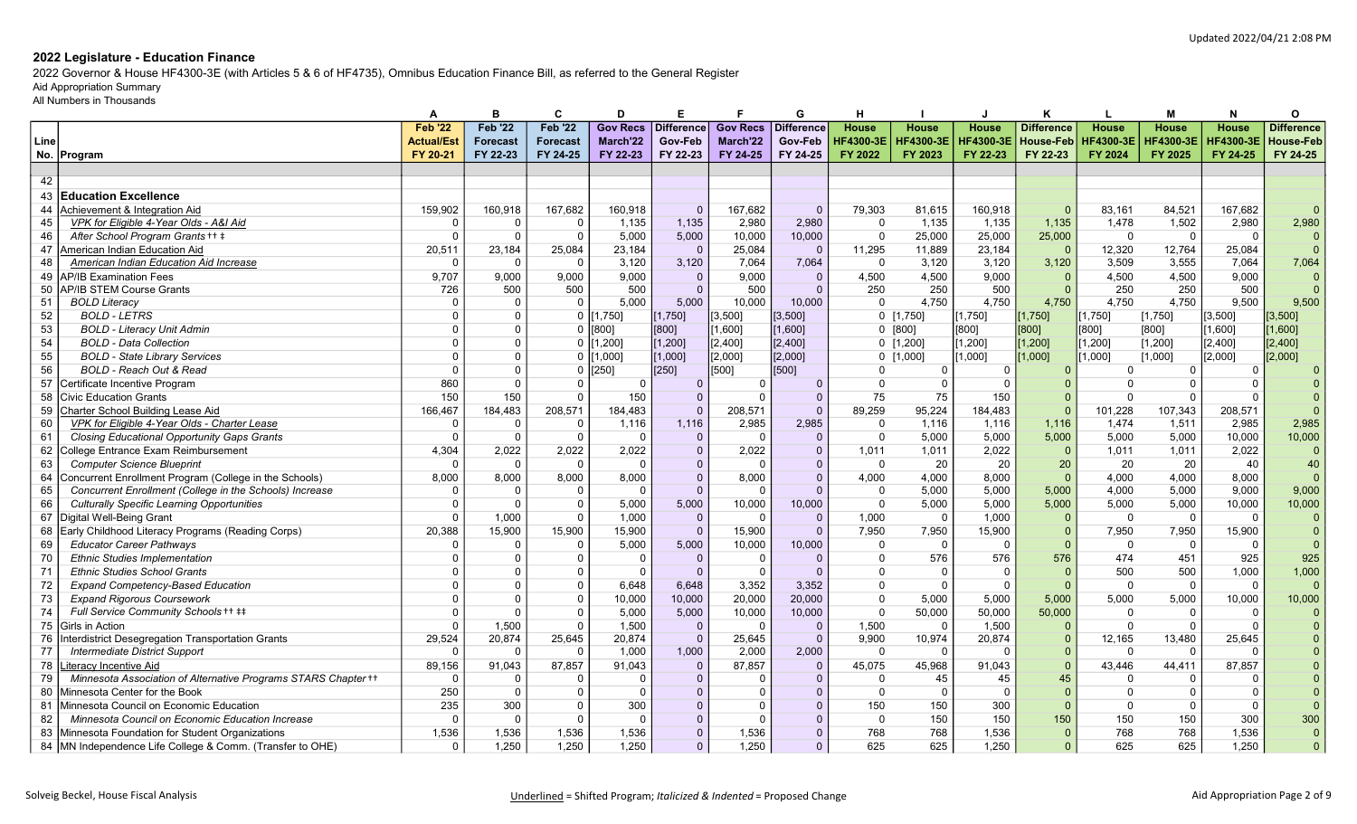2022 Governor & House HF4300-3E (with Articles 5 & 6 of HF4735), Omnibus Education Finance Bill, as referred to the General Register

## Aid Appropriation Summary

|      |                                                                | A                 | в               | C               | D               | Е                 |                 | G          | н                |                  |              | ĸ                 | L                | м                | N                | O                 |
|------|----------------------------------------------------------------|-------------------|-----------------|-----------------|-----------------|-------------------|-----------------|------------|------------------|------------------|--------------|-------------------|------------------|------------------|------------------|-------------------|
|      |                                                                | <b>Feb '22</b>    | <b>Feb '22</b>  | <b>Feb '22</b>  | <b>Gov Recs</b> | <b>Difference</b> | <b>Gov Recs</b> | Difference | <b>House</b>     | <b>House</b>     | <b>House</b> | <b>Difference</b> | House            | <b>House</b>     | <b>House</b>     | <b>Difference</b> |
| Line |                                                                | <b>Actual/Est</b> | <b>Forecast</b> | <b>Forecast</b> | March'22        | Gov-Feb           | March'22        | Gov-Feb    | <b>HF4300-3E</b> | <b>HF4300-3E</b> | HF4300-3E    | <b>House-Feb</b>  | <b>HF4300-3E</b> | <b>HF4300-3E</b> | <b>HF4300-3E</b> | House-Feb         |
|      | No. Program                                                    | FY 20-21          | FY 22-23        | FY 24-25        | FY 22-23        | FY 22-23          | FY 24-25        | FY 24-25   | FY 2022          | FY 2023          | FY 22-23     | FY 22-23          | FY 2024          | FY 2025          | FY 24-25         | FY 24-25          |
|      |                                                                |                   |                 |                 |                 |                   |                 |            |                  |                  |              |                   |                  |                  |                  |                   |
| 42   |                                                                |                   |                 |                 |                 |                   |                 |            |                  |                  |              |                   |                  |                  |                  |                   |
| 43   | <b>Education Excellence</b>                                    |                   |                 |                 |                 |                   |                 |            |                  |                  |              |                   |                  |                  |                  |                   |
| 44   | Achievement & Integration Aid                                  | 159.902           | 160.918         | 167.682         | 160.918         | $\Omega$          | 167.682         | $\Omega$   | 79.303           | 81.615           | 160.918      | $\Omega$          | 83.161           | 84.521           | 167.682          | $\Omega$          |
| 45   | VPK for Eligible 4-Year Olds - A&I Aid                         | $\Omega$          | $\Omega$        | $\Omega$        | 1,135           | 1,135             | 2,980           | 2,980      | $\mathbf 0$      | 1,135            | 1,135        | 1,135             | 1,478            | 1,502            | 2,980            | 2,980             |
| 46   | After School Program Grants ++ +                               | $\Omega$          | $\Omega$        | $\Omega$        | 5,000           | 5,000             | 10,000          | 10,000     | $\Omega$         | 25,000           | 25,000       | 25,000            | $\Omega$         | $\Omega$         | $\Omega$         | $\Omega$          |
| 47   | American Indian Education Aid                                  | 20,511            | 23,184          | 25,084          | 23,184          | $\Omega$          | 25,084          | $\Omega$   | 11,295           | 11,889           | 23,184       | $\Omega$          | 12,320           | 12,764           | 25,084           | $\Omega$          |
| 48   | <b>American Indian Education Aid Increase</b>                  | $\Omega$          | $\Omega$        | $\Omega$        | 3,120           | 3,120             | 7,064           | 7,064      | $\Omega$         | 3,120            | 3,120        | 3,120             | 3,509            | 3,555            | 7,064            | 7,064             |
| 49   | <b>AP/IB Examination Fees</b>                                  | 9.707             | 9,000           | 9,000           | 9,000           | $\Omega$          | 9,000           | $\Omega$   | 4,500            | 4.500            | 9,000        |                   | 4,500            | 4,500            | 9,000            |                   |
| 50   | <b>AP/IB STEM Course Grants</b>                                | 726               | 500             | 500             | 500             | $\Omega$          | 500             | $\Omega$   | 250              | 250              | 500          |                   | 250              | 250              | 500              |                   |
| 51   | <b>BOLD Literacy</b>                                           |                   | $\Omega$        | $\Omega$        | 5.000           | 5.000             | 10,000          | 10.000     | $\Omega$         | 4.750            | 4.750        | 4,750             | 4.750            | 4,750            | 9.500            | 9,500             |
| 52   | <b>BOLD - LETRS</b>                                            |                   | <sup>0</sup>    | $\mathbf 0$     | [1,750]         | [1,750]           | [3, 500]        | [3, 500]   |                  | 0 [1,750]        | [1,750]      | $[1,750]$         | [1,750]          | [1,750]          | [3,500]          | [3, 500]          |
| 53   | <b>BOLD - Literacy Unit Admin</b>                              |                   |                 |                 | [800]           | [800]             | 1,6001          | [1,600]    |                  | 0 [800]          | [800]        | [800]             | [800]            | [800]            | 1,6001           | [1,600]           |
| 54   | <b>BOLD - Data Collection</b>                                  | $\Omega$          | $\Omega$        | $\Omega$        | [1, 200]        | [1, 200]          | [2,400]         | [2,400]    |                  | $0$ [1,200]      | $[1,200]$    | $[1,200]$         | [1, 200]         | [1, 200]         | [2,400]          | [2,400]           |
| 55   | <b>BOLD - State Library Services</b>                           | $\Omega$          | $\Omega$        | $\Omega$        | [1,000]         | [1,000]           | [2,000]         | [2,000]    |                  | $0$ [1,000]      | $1,000$ ]    | [1,000]           | [1,000]          | [1,000]          | [2,000]          | [2,000]           |
| 56   | <b>BOLD - Reach Out &amp; Read</b>                             | $\Omega$          | $\Omega$        | $\Omega$        | [250]           | [250]             | 5001            | [500]      | $\Omega$         | $\Omega$         | $\Omega$     |                   | $\Omega$         | $\Omega$         |                  |                   |
| 57   | Certificate Incentive Program                                  | 860               | $\Omega$        |                 | $\Omega$        | $\Omega$          | $\Omega$        | $\Omega$   | $\Omega$         | $\Omega$         | $\Omega$     |                   | $\Omega$         | $\Omega$         |                  |                   |
| 58   | <b>Civic Education Grants</b>                                  | 150               | 150             | $\Omega$        | 150             | $\Omega$          |                 | $\Omega$   | 75               | 75               | 150          |                   | $\Omega$         | $\Omega$         |                  |                   |
| 59   | Charter School Building Lease Aid                              | 166,467           | 184.483         | 208,571         | 184,483         | $\overline{0}$    | 208.571         | $\Omega$   | 89,259           | 95,224           | 184.483      | $\Omega$          | 101,228          | 107,343          | 208.571          | $\Omega$          |
| 60   | VPK for Eligible 4-Year Olds - Charter Lease                   | $\Omega$          | $\Omega$        |                 | 1,116           | 1,116             | 2,985           | 2,985      | $\Omega$         | 1,116            | 1,116        | 1.116             | 1,474            | 1,511            | 2,985            | 2,985             |
| 61   | <b>Closing Educational Opportunity Gaps Grants</b>             | $\Omega$          | $\Omega$        | $\Omega$        | $\Omega$        | $\Omega$          | $\Omega$        | $\Omega$   | $\overline{0}$   | 5,000            | 5,000        | 5,000             | 5,000            | 5,000            | 10,000           | 10,000            |
| 62   | College Entrance Exam Reimbursement                            | 4,304             | 2,022           | 2,022           | 2,022           | $\overline{0}$    | 2,022           | $\Omega$   | 1,011            | 1.011            | 2,022        | $\Omega$          | 1.011            | 1.011            | 2,022            | $\Omega$          |
| 63   | <b>Computer Science Blueprint</b>                              | $\Omega$          | $\Omega$        | റ               | $\Omega$        | $\mathbf 0$       | $\Omega$        | $\Omega$   | $\Omega$         | 20               | 20           | 20                | 20               | 20               | 40               | 40                |
| 64   | Concurrent Enrollment Program (College in the Schools)         | 8,000             | 8,000           | 8,000           | 8,000           | $\overline{0}$    | 8,000           |            | 4,000            | 4,000            | 8,000        | $\Omega$          | 4,000            | 4,000            | 8,000            | $\Omega$          |
| 65   | Concurrent Enrollment (College in the Schools) Increase        | $\Omega$          | $\Omega$        |                 | $\Omega$        | $\Omega$          | $\Omega$        |            | $\Omega$         | 5,000            | 5,000        | 5,000             | 4.000            | 5,000            | 9.000            | 9,000             |
| 66   | <b>Culturally Specific Learning Opportunities</b>              | $\Omega$          | $\Omega$        |                 | 5,000           | 5,000             | 10,000          | 10,000     | $\Omega$         | 5,000            | 5,000        | 5,000             | 5,000            | 5,000            | 10,000           | 10,000            |
| 67   | Digital Well-Being Grant                                       | $\Omega$          | 1,000           |                 | 1,000           | $\mathbf 0$       | $\Omega$        | $\Omega$   | 1,000            | - 0              | 1,000        |                   | $\mathbf 0$      | $\Omega$         | $\Omega$         | $\Omega$          |
| 68   | Early Childhood Literacy Programs (Reading Corps)              | 20,388            | 15.900          | 15,900          | 15,900          | $\overline{0}$    | 15,900          | $\Omega$   | 7.950            | 7,950            | 15,900       |                   | 7,950            | 7,950            | 15,900           | $\Omega$          |
| 69   | <b>Educator Career Pathways</b>                                |                   | $\Omega$        |                 | 5,000           | 5,000             | 10,000          | 10,000     | $\Omega$         | - 0              | $\Omega$     |                   | $\Omega$         | $\Omega$         | $\Omega$         | $\Omega$          |
| 70   | <b>Ethnic Studies Implementation</b>                           |                   |                 | റ               | $\Omega$        | $\mathbf{0}$      | $\Omega$        | $\Omega$   | $\Omega$         | 576              | 576          | 576               | 474              | 451              | 925              | 925               |
| 71   | <b>Ethnic Studies School Grants</b>                            |                   | $\Omega$        |                 | $\Omega$        | $\Omega$          | $\Omega$        |            | $\Omega$         | $\overline{0}$   | $\Omega$     |                   | 500              | 500              | 1,000            | 1,000             |
| 72   | <b>Expand Competency-Based Education</b>                       | $\Omega$          | $\Omega$        | $\Omega$        | 6.648           | 6.648             | 3,352           | 3,352      | $\Omega$         | $\Omega$         | $\mathbf{0}$ | $\Omega$          | $\Omega$         | $\Omega$         | $\Omega$         | $\Omega$          |
| 73   | <b>Expand Rigorous Coursework</b>                              |                   |                 |                 | 10,000          | 10,000            | 20,000          | 20,000     | $\Omega$         | 5,000            | 5,000        | 5,000             | 5,000            | 5,000            | 10,000           | 10,000            |
| 74   | Full Service Community Schools ++ ##                           | $\Omega$          | $\Omega$        |                 | 5,000           | 5.000             | 10,000          | 10,000     | $\Omega$         | 50,000           | 50,000       | 50,000            | $\Omega$         | $\Omega$         | $\Omega$         |                   |
| 75   | Girls in Action                                                | $\Omega$          | 1,500           | $\Omega$        | 1,500           | $\mathbf{0}$      | $\Omega$        | $\Omega$   | 1,500            | $\overline{0}$   | 1,500        |                   | $\Omega$         | $\Omega$         | $\Omega$         |                   |
| 76   | Interdistrict Desegregation Transportation Grants              | 29,524            | 20,874          | 25,645          | 20,874          | $\mathbf{0}$      | 25,645          | $\Omega$   | 9,900            | 10,974           | 20,874       |                   | 12,165           | 13,480           | 25,645           |                   |
| 77   | <b>Intermediate District Support</b>                           | $\Omega$          | $\Omega$        | $\Omega$        | 1,000           | 1.000             | 2,000           | 2,000      | $\Omega$         | $\Omega$         | $\Omega$     |                   | $\Omega$         | $\Omega$         |                  |                   |
| 78   | Literacy Incentive Aid                                         | 89,156            | 91,043          | 87,857          | 91,043          | $\Omega$          | 87,857          | $\Omega$   | 45,075           | 45,968           | 91,043       |                   | 43,446           | 44,411           | 87,857           |                   |
| 79   | Minnesota Association of Alternative Programs STARS Chapter ++ | $\Omega$          | $\Omega$        |                 | C               | $\overline{0}$    | $\Omega$        |            | $\Omega$         | 45               | 45           | 45                | $\Omega$         | $\Omega$         |                  |                   |
| 80   | Minnesota Center for the Book                                  | 250               | $\Omega$        |                 | $\Omega$        | $\Omega$          | $\Omega$        |            | $\Omega$         | $\Omega$         | $\Omega$     |                   | $\Omega$         | $\Omega$         | - 0              |                   |
| 81   | Minnesota Council on Economic Education                        | 235               | 300             | $\Omega$        | 300             | $\mathbf{0}$      | $\Omega$        |            | 150              | 150              | 300          | $\Omega$          | $\Omega$         | $\Omega$         | $\Omega$         |                   |
| 82   | Minnesota Council on Economic Education Increase               | $\Omega$          | $\Omega$        |                 | $\Omega$        | $\mathbf{0}$      | $\Omega$        |            | $\Omega$         | 150              | 150          | 150               | 150              | 150              | 300              | 300               |
| 83   | Minnesota Foundation for Student Organizations                 | 1,536             | 1,536           | 1.536           | 1,536           | $\Omega$          | 1,536           | $\Omega$   | 768              | 768              | 1.536        |                   | 768              | 768              | 1.536            | $\Omega$          |
|      | 84   MN Independence Life College & Comm. (Transfer to OHE)    | $\Omega$          | 1,250           | 1,250           | 1,250           | $\Omega$          | 1,250           | $\Omega$   | 625              | 625              | 1,250        |                   | 625              | 625              | 1,250            | $\overline{0}$    |
|      |                                                                |                   |                 |                 |                 |                   |                 |            |                  |                  |              |                   |                  |                  |                  |                   |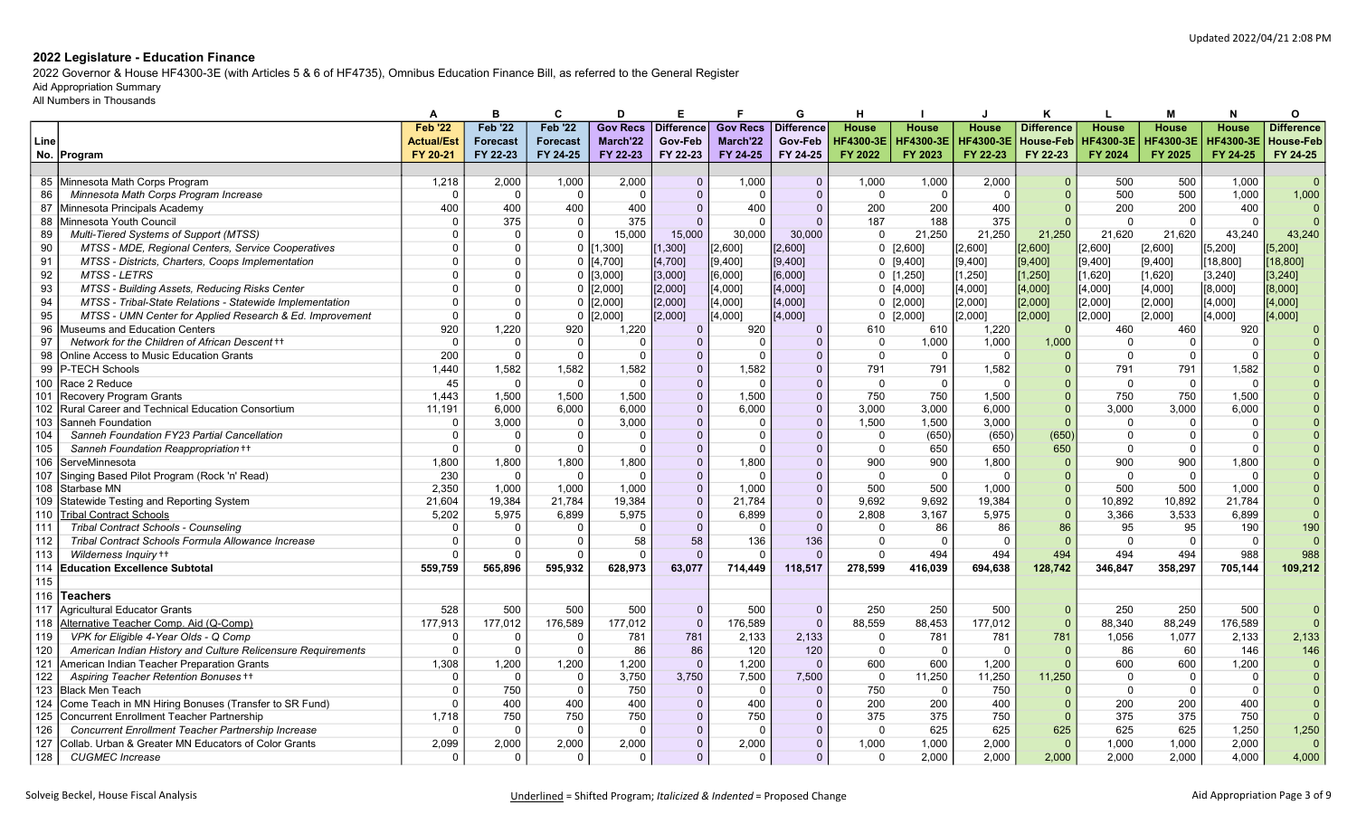2022 Governor & House HF4300-3E (with Articles 5 & 6 of HF4735), Omnibus Education Finance Bill, as referred to the General Register

# Aid Appropriation Summary

|       |                                                              |                   |                 | C               | D               | Е                 |                 | G            |                  |                  |              | ĸ                 |                  | м                | N                | Ο                 |
|-------|--------------------------------------------------------------|-------------------|-----------------|-----------------|-----------------|-------------------|-----------------|--------------|------------------|------------------|--------------|-------------------|------------------|------------------|------------------|-------------------|
|       |                                                              | <b>Feb '22</b>    | <b>Feb '22</b>  | <b>Feb '22</b>  | <b>Gov Recs</b> | <b>Difference</b> | <b>Gov Recs</b> | Difference   | <b>House</b>     | <b>House</b>     | <b>House</b> | <b>Difference</b> | House            | House            | <b>House</b>     | <b>Difference</b> |
| Line  |                                                              | <b>Actual/Est</b> | <b>Forecast</b> | <b>Forecast</b> | March'22        | Gov-Feb           | March'22        | Gov-Feb      | <b>HF4300-3E</b> | <b>HF4300-3E</b> |              | <b>House-Feb</b>  | <b>HF4300-3E</b> | <b>HF4300-3E</b> | <b>HF4300-3E</b> | <b>House-Feb</b>  |
|       | No. Program                                                  | FY 20-21          | FY 22-23        | FY 24-25        | FY 22-23        | FY 22-23          | FY 24-25        | FY 24-25     | FY 2022          | FY 2023          | FY 22-23     | FY 22-23          | FY 2024          | FY 2025          | FY 24-25         | FY 24-25          |
|       |                                                              |                   |                 |                 |                 |                   |                 |              |                  |                  |              |                   |                  |                  |                  |                   |
|       | 85 Minnesota Math Corps Program                              | 1,218             | 2,000           | 1,000           | 2,000           | $\Omega$          | 1,000           | $\Omega$     | 1,000            | 1,000            | 2,000        |                   | 500              | 500              | 1,000            | $\Omega$          |
| 86    | Minnesota Math Corps Program Increase                        | $\Omega$          | $\Omega$        | $\overline{0}$  | $\Omega$        | $\Omega$          | $\Omega$        | $\mathbf{0}$ | $\Omega$         | $\Omega$         | $\Omega$     |                   | 500              | 500              | 1.000            | 1,000             |
| 87    | Minnesota Principals Academy                                 | 400               | 400             | 400             | 400             | $\Omega$          | 400             | $\Omega$     | 200              | 200              | 400          |                   | 200              | 200              | 400              |                   |
|       | 88 Minnesota Youth Council                                   |                   | 375             | $\overline{0}$  | 375             | $\Omega$          | $\Omega$        | $\Omega$     | 187              | 188              | 375          |                   | $\Omega$         | $\Omega$         | $\Omega$         |                   |
| 89    | Multi-Tiered Systems of Support (MTSS)                       |                   | $\Omega$        | $\Omega$        | 15.000          | 15,000            | 30,000          | 30,000       | $\Omega$         | 21,250           | 21,250       | 21,250            | 21.620           | 21,620           | 43.240           | 43,240            |
| 90    | MTSS - MDE, Regional Centers, Service Cooperatives           |                   |                 | $\Omega$        | [1,300]         | [1,300]           | [2,600]         | [2,600]      |                  | 0 [2,600]        | [2,600]      | [2,600]           | [2,600]          | [2,600]          | [5, 200]         | $5,200$ ]         |
| 91    | MTSS - Districts, Charters, Coops Implementation             | 0                 |                 | $\Omega$        | [4,700]         | [4, 700]          | [9,400]         | [9,400]      |                  | $0$ [9,400]      | [[9,400]     | [9,400]           | [9,400]          | [9,400]          | 18,800           | [18, 800]         |
| 92    | <b>MTSS-LETRS</b>                                            |                   |                 | $\Omega$        | [3,000]         | [3,000]           | [6,000]         | [6,000]      |                  | $0$ [1,250]      | [1, 250]     | [1, 250]          | [1,620]          | [1,620]          | [3, 240]         | [3, 240]          |
| 93    | MTSS - Building Assets, Reducing Risks Center                | $\Omega$          |                 |                 | [2,000]         | [2,000]           | [4,000]         | $[4,000]$    |                  | 0[4,000]         | [4,000]      | [4,000]           | [4,000]          | [4,000]          | [8,000]          | [8,000]           |
| 94    | MTSS - Tribal-State Relations - Statewide Implementation     | $\Omega$          |                 | $\Omega$        | [2,000]         | [2,000]           | [4,000]         | $[4,000]$    |                  | $0$ [2,000]      | [2,000]      | [2,000]           | [2,000]          | [2,000]          | [4,000]          | [4,000]           |
| 95    | MTSS - UMN Center for Applied Research & Ed. Improvement     | $\Omega$          | $\Omega$        | $\Omega$        | [2,000]         | [2,000]           | [4,000]         | [4,000]      |                  | $0$ [2,000]      | [2,000]      | [2,000]           | [2,000]          | [2,000]          | [4,000]          | [4,000]           |
| 96    | Museums and Education Centers                                | 920               | 1,220           | 920             | 1,220           | $\Omega$          | 920             | $\Omega$     | 610              | 610              | 1,220        |                   | 460              | 460              | 920              |                   |
| 97    | Network for the Children of African Descent ++               | $\Omega$          | $\Omega$        | $\Omega$        | $\Omega$        | $\Omega$          | $\Omega$        | $\Omega$     | $\Omega$         | 1,000            | 1,000        | 1,000             | $\Omega$         | $\mathbf{0}$     | $\Omega$         |                   |
| 98    | Online Access to Music Education Grants                      | 200               | $\Omega$        | $\overline{0}$  | $\Omega$        | $\Omega$          | $\Omega$        | $\Omega$     | $\Omega$         | $\overline{0}$   | $\Omega$     |                   | $\Omega$         | $\overline{0}$   | $\Omega$         |                   |
| 99    | P-TECH Schools                                               | 1.440             | 1,582           | 1,582           | 1,582           | $\Omega$          | 1,582           | $\Omega$     | 791              | 791              | 1,582        |                   | 791              | 791              | 1,582            |                   |
| 100   | Race 2 Reduce                                                | 45                | $\Omega$        | $\Omega$        | $\Omega$        | $\Omega$          | $\Omega$        | $\Omega$     | $\Omega$         | $\overline{0}$   | $\Omega$     |                   | $\Omega$         | $\mathbf{0}$     | $\Omega$         |                   |
| 101   | Recovery Program Grants                                      | 1.443             | 1,500           | 1.500           | 1.500           | $\Omega$          | 1,500           | $\Omega$     | 750              | 750              | 1,500        |                   | 750              | 750              | 1,500            |                   |
| 102   | Rural Career and Technical Education Consortium              | 11.191            | 6,000           | 6.000           | 6.000           | $\Omega$          | 6,000           | $\Omega$     | 3.000            | 3.000            | 6.000        |                   | 3.000            | 3.000            | 6.000            |                   |
| 103   | Sanneh Foundation                                            | $\Omega$          | 3.000           | $\overline{0}$  | 3.000           | $\Omega$          | $\Omega$        |              | 1,500            | 1.500            | 3,000        |                   | $\Omega$         | $\Omega$         | $\Omega$         |                   |
| 104   | Sanneh Foundation FY23 Partial Cancellation                  | $\Omega$          | $\Omega$        | $\Omega$        | $\Omega$        | $\Omega$          | $\Omega$        | $\Omega$     | $\Omega$         | (650)            | (650)        | (650)             | $\Omega$         | $\Omega$         | $\Omega$         |                   |
| 105   | Sanneh Foundation Reappropriation ++                         | $\Omega$          | $\Omega$        |                 | $\Omega$        | $\Omega$          |                 |              | $\Omega$         | 650              | 650          | 650               | $\Omega$         | $\Omega$         | $\Omega$         |                   |
| 106   | ServeMinnesota                                               | 1.800             | 1.800           | 1.800           | 1.800           | $\Omega$          | 1,800           |              | 900              | 900              | 1.800        |                   | 900              | 900              | 1.800            |                   |
| 107   | Singing Based Pilot Program (Rock 'n' Read)                  | 230               | $\Omega$        | $\Omega$        | $\Omega$        | $\Omega$          | $\Omega$        | $\Omega$     | $\Omega$         | $\overline{0}$   | $\Omega$     |                   | $\Omega$         | $\mathbf{0}$     | $\Omega$         |                   |
| 108   | Starbase MN                                                  | 2.350             | 1.000           | 1.000           | 1.000           | $\Omega$          | 1.000           | $\Omega$     | 500              | 500              | 1.000        |                   | 500              | 500              | 1.000            |                   |
| 109   | Statewide Testing and Reporting System                       | 21.604            | 19,384          | 21.784          | 19,384          | $\overline{0}$    | 21,784          | $\Omega$     | 9.692            | 9.692            | 19,384       |                   | 10.892           | 10,892           | 21,784           |                   |
| 110   | <b>Tribal Contract Schools</b>                               | 5.202             | 5,975           | 6.899           | 5,975           | $\Omega$          | 6,899           | $\Omega$     | 2.808            | 3.167            | 5,975        |                   | 3.366            | 3,533            | 6.899            | $\overline{0}$    |
| 111   | Tribal Contract Schools - Counseling                         | $\Omega$          | $\Omega$        | $\Omega$        | $\Omega$        | $\Omega$          | $\Omega$        | $\Omega$     | $\Omega$         | 86               | 86           | 86                | 95               | 95               | 190              | 190               |
| 112   | Tribal Contract Schools Formula Allowance Increase           | $\Omega$          | $\Omega$        | $\Omega$        | 58              | 58                | 136             | 136          | $\Omega$         | $\overline{0}$   | $\Omega$     |                   | $\overline{0}$   | $\mathbf{0}$     | $\Omega$         | $\Omega$          |
| 113   | Wilderness Inquiry ++                                        | $\Omega$          |                 |                 | $\Omega$        | $\Omega$          |                 | $\Omega$     | $\Omega$         | 494              | 494          | 494               | 494              | 494              | 988              | 988               |
| 114   | <b>Education Excellence Subtotal</b>                         | 559.759           | 565,896         | 595.932         | 628,973         | 63,077            | 714,449         | 118,517      | 278.599          | 416.039          | 694,638      | 128,742           | 346.847          | 358,297          | 705.144          | 109.212           |
| $115$ |                                                              |                   |                 |                 |                 |                   |                 |              |                  |                  |              |                   |                  |                  |                  |                   |
| 116   | <b>Teachers</b>                                              |                   |                 |                 |                 |                   |                 |              |                  |                  |              |                   |                  |                  |                  |                   |
| 117   | Agricultural Educator Grants                                 | 528               | 500             | 500             | 500             | $\overline{0}$    | 500             | $\mathbf{0}$ | 250              | 250              | 500          | $\Omega$          | 250              | 250              | 500              |                   |
| 118   | Alternative Teacher Comp. Aid (Q-Comp)                       | 177,913           | 177,012         | 176,589         | 177,012         | $\overline{0}$    | 176,589         | $\Omega$     | 88,559           | 88,453           | 177,012      |                   | 88,340           | 88,249           | 176,589          | $\Omega$          |
| 119   | VPK for Eligible 4-Year Olds - Q Comp                        | 0                 | $\Omega$        | $\Omega$        | 781             | 781               | 2,133           | 2,133        | $\Omega$         | 781              | 781          | 781               | 1,056            | 1,077            | 2,133            | 2,133             |
| 120   | American Indian History and Culture Relicensure Requirements | $\Omega$          | $\Omega$        | $\Omega$        | 86              | 86                | 120             | 120          | $\mathbf{0}$     | $\overline{0}$   | $\Omega$     |                   | 86               | 60               | 146              | 146               |
| 121   | American Indian Teacher Preparation Grants                   | 1,308             | 1,200           | 1,200           | 1,200           | $\Omega$          | 1,200           | $\Omega$     | 600              | 600              | 1,200        |                   | 600              | 600              | 1,200            |                   |
| 122   | Aspiring Teacher Retention Bonuses ++                        | 0                 | $\Omega$        | $\Omega$        | 3,750           | 3,750             | 7,500           | 7,500        | $\mathbf 0$      | 11,250           | 11,250       | 11,250            | $\Omega$         | $\Omega$         | - 0              |                   |
| 123   | <b>Black Men Teach</b>                                       | $\Omega$          | 750             | $\Omega$        | 750             | $\Omega$          | $\Omega$        | $\Omega$     | 750              | 0                | 750          |                   | $\Omega$         | $\mathbf{0}$     | $\Omega$         |                   |
| 124   | Come Teach in MN Hiring Bonuses (Transfer to SR Fund)        | $\Omega$          | 400             | 400             | 400             | $\Omega$          | 400             |              | 200              | 200              | 400          |                   | 200              | 200              | 400              |                   |
| 125   | <b>Concurrent Enrollment Teacher Partnership</b>             | 1,718             | 750             | 750             | 750             | $\Omega$          | 750             |              | 375              | 375              | 750          |                   | 375              | 375              | 750              |                   |
| 126   | Concurrent Enrollment Teacher Partnership Increase           |                   | $\Omega$        | 0               | $\Omega$        | $\Omega$          | $\Omega$        | $\Omega$     | $\mathbf{0}$     | 625              | 625          | 625               | 625              | 625              | 1,250            | 1,250             |
| 127   | Collab. Urban & Greater MN Educators of Color Grants         | 2,099             | 2,000           | 2,000           | 2,000           | $\overline{0}$    | 2,000           | $\Omega$     | 1,000            | 1,000            | 2,000        |                   | 1,000            | 1,000            | 2,000            | $\overline{0}$    |
| 128   | <b>CUGMEC</b> Increase                                       | $\Omega$          | $\Omega$        | $\Omega$        | $\Omega$        | $\Omega$          | $\Omega$        | $\Omega$     | $\Omega$         | 2,000            | 2,000        | 2,000             | 2,000            | 2,000            | 4,000            | 4,000             |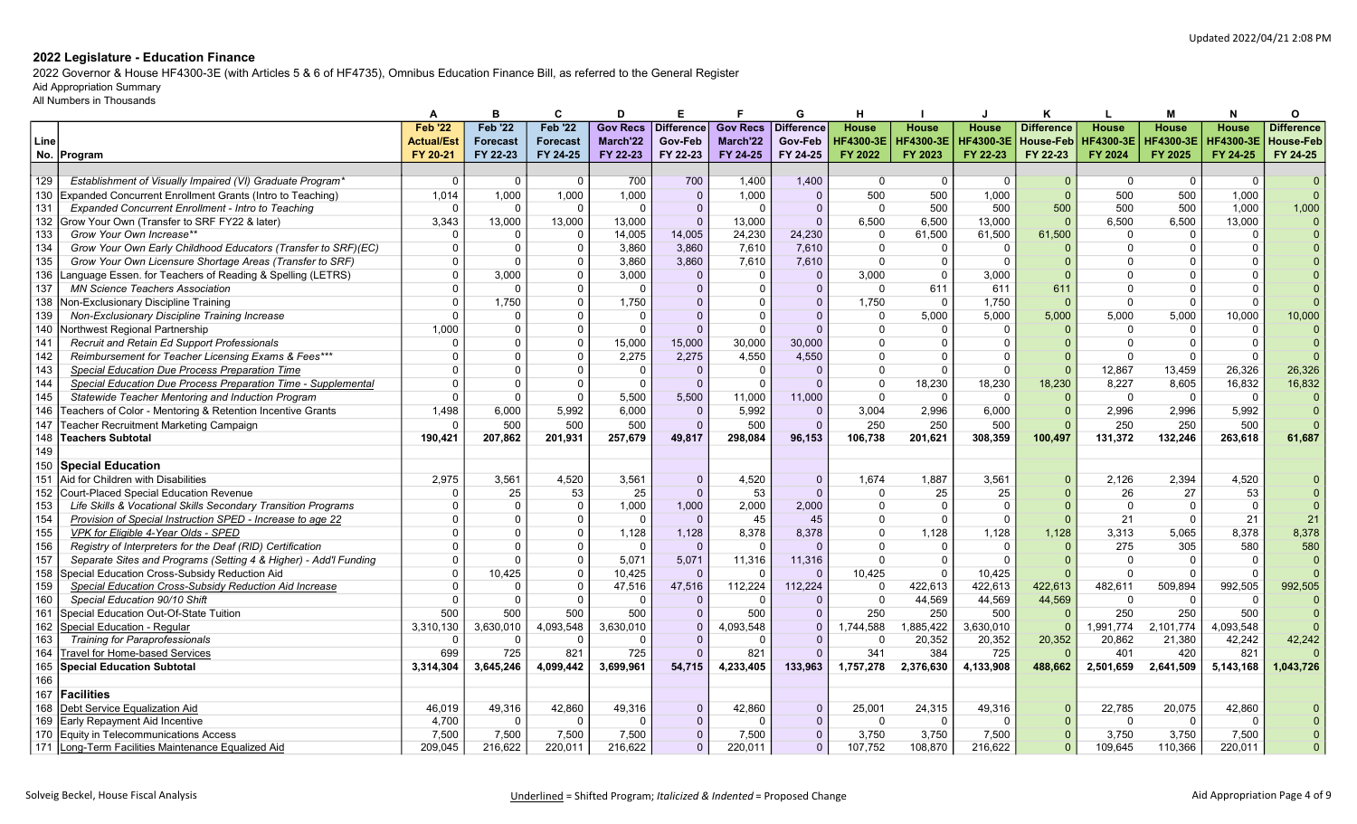2022 Governor & House HF4300-3E (with Articles 5 & 6 of HF4735), Omnibus Education Finance Bill, as referred to the General Register

# Aid Appropriation Summary

|      |                                                                       |                   |                 | C               | D               | Е                 |                 | G            |                  |                  |                  | к                 |                  | м                | N                | O                 |
|------|-----------------------------------------------------------------------|-------------------|-----------------|-----------------|-----------------|-------------------|-----------------|--------------|------------------|------------------|------------------|-------------------|------------------|------------------|------------------|-------------------|
|      |                                                                       | <b>Feb '22</b>    | <b>Feb '22</b>  | <b>Feb '22</b>  | <b>Gov Recs</b> | <b>Difference</b> | <b>Gov Recs</b> | Difference   | House            | <b>House</b>     | House            | <b>Difference</b> | House            | House            | <b>House</b>     | <b>Difference</b> |
| Line |                                                                       | <b>Actual/Est</b> | <b>Forecast</b> | <b>Forecast</b> | March'22        | Gov-Feb           | March'22        | Gov-Feb      | <b>HF4300-3E</b> | <b>HF4300-3E</b> | <b>HF4300-3E</b> | <b>House-Feb</b>  | <b>HF4300-3E</b> | <b>HF4300-3E</b> | <b>HF4300-3E</b> | House-Feb         |
|      | No. Program                                                           | FY 20-21          | FY 22-23        | FY 24-25        | FY 22-23        | FY 22-23          | FY 24-25        | FY 24-25     | FY 2022          | FY 2023          | FY 22-23         | FY 22-23          | FY 2024          | FY 2025          | FY 24-25         | FY 24-25          |
|      |                                                                       |                   |                 |                 |                 |                   |                 |              |                  |                  |                  |                   |                  |                  |                  |                   |
| 129  | Establishment of Visually Impaired (VI) Graduate Program <sup>®</sup> | 0                 | $\Omega$        | $\Omega$        | 700             | 700               | 1,400           | 1,400        | $\Omega$         | - 0              | 0                | $\Omega$          | $\Omega$         | 0                | - 0              | $\Omega$          |
| 130  | Expanded Concurrent Enrollment Grants (Intro to Teaching)             | 1,014             | 1,000           | 1,000           | 1,000           | $\overline{0}$    | 1,000           | $\Omega$     | 500              | 500              | 1,000            | $\Omega$          | 500              | 500              | 1.000            | $\Omega$          |
| 131  | Expanded Concurrent Enrollment - Intro to Teaching                    |                   | $\Omega$        | $\Omega$        | $\Omega$        | $\Omega$          | $\Omega$        | $\Omega$     | $\Omega$         | 500              | 500              | 500               | 500              | 500              | 1.000            | 1,000             |
| 132  | Grow Your Own (Transfer to SRF FY22 & later)                          | 3.343             | 13,000          | 13,000          | 13,000          | $\overline{0}$    | 13,000          | $\Omega$     | 6,500            | 6,500            | 13,000           |                   | 6.500            | 6,500            | 13,000           | $\Omega$          |
| 133  | Grow Your Own Increase**                                              |                   | $\Omega$        |                 | 14,005          | 14,005            | 24,230          | 24,230       | $\Omega$         | 61,500           | 61,500           | 61,500            | $\Omega$         | $\Omega$         | $\Omega$         |                   |
| 134  | Grow Your Own Early Childhood Educators (Transfer to SRF)(EC)         | ŋ                 | $\Omega$        | റ               | 3,860           | 3,860             | 7,610           | 7,610        | $\Omega$         | -0               | $\Omega$         |                   | $\Omega$         | $\Omega$         | $\Omega$         |                   |
| 135  | Grow Your Own Licensure Shortage Areas (Transfer to SRF)              | $\Omega$          | $\Omega$        |                 | 3,860           | 3,860             | 7,610           | 7,610        | $\Omega$         | $\Omega$         | $\Omega$         |                   |                  |                  |                  |                   |
| 136  | Language Essen. for Teachers of Reading & Spelling (LETRS)            | $\Omega$          | 3.000           | $\Omega$        | 3.000           | $\Omega$          | $\overline{0}$  | $\Omega$     | 3.000            | $\Omega$         | 3.000            |                   | $\Omega$         | $\Omega$         | $\Omega$         |                   |
| 137  | <b>MN Science Teachers Association</b>                                | $\Omega$          | $\Omega$        |                 | $\Omega$        | $\Omega$          | $\Omega$        | $\Omega$     | $\Omega$         | 611              | 611              | 611               |                  | $\Omega$         |                  |                   |
| 138  | Non-Exclusionary Discipline Training                                  | $\Omega$          | 1,750           | $\Omega$        | 1,750           | $\Omega$          | $\Omega$        | $\Omega$     | 1,750            | $\Omega$         | 1,750            |                   | $\Omega$         | $\Omega$         | $\Omega$         |                   |
| 139  | Non-Exclusionary Discipline Training Increase                         |                   | $\Omega$        |                 | $\Omega$        | $\Omega$          |                 |              | $\Omega$         | 5,000            | 5,000            | 5,000             | 5,000            | 5,000            | 10,000           | 10,000            |
| 140  | Northwest Regional Partnership                                        | 1.000             | $\Omega$        | $\Omega$        | $\Omega$        | $\Omega$          | $\Omega$        | $\Omega$     | $\Omega$         | $\Omega$         | $\Omega$         |                   | $\Omega$         | $\Omega$         | $\Omega$         |                   |
| 141  | Recruit and Retain Ed Support Professionals                           |                   |                 |                 | 15,000          | 15,000            | 30,000          | 30.000       |                  | $\Omega$         | $\Omega$         |                   | $\Omega$         | $\Omega$         | $\Omega$         |                   |
| 142  | Reimbursement for Teacher Licensing Exams & Fees***                   | $\Omega$          |                 |                 | 2,275           | 2.275             | 4,550           | 4.550        |                  |                  | $\Omega$         |                   | $\Omega$         | $\Omega$         | $\Omega$         | $\Omega$          |
| 143  | Special Education Due Process Preparation Time                        | $\Omega$          | $\Omega$        | $\Omega$        | $\Omega$        | $\overline{0}$    | 0               | $\Omega$     | $\Omega$         | $\Omega$         | $\Omega$         |                   | 12,867           | 13,459           | 26,326           | 26,326            |
| 144  | Special Education Due Process Preparation Time - Supplemental         | $\Omega$          | $\Omega$        |                 | $\Omega$        | $\Omega$          | $\Omega$        | $\Omega$     | $\Omega$         | 18,230           | 18,230           | 18,230            | 8,227            | 8,605            | 16,832           | 16,832            |
| 145  | Statewide Teacher Mentoring and Induction Program                     | $\Omega$          | $\Omega$        | $\Omega$        | 5,500           | 5,500             | 11,000          | 11,000       | $\Omega$         | - 0              | $\Omega$         |                   | $\Omega$         | $\mathbf 0$      | $\Omega$         |                   |
| 146  | Teachers of Color - Mentoring & Retention Incentive Grants            | 1.498             | 6.000           | 5.992           | 6.000           | $\Omega$          | 5.992           | $\Omega$     | 3.004            | 2.996            | 6,000            |                   | 2.996            | 2.996            | 5.992            | $\overline{0}$    |
| 147  | Teacher Recruitment Marketing Campaign                                |                   | 500             | 500             | 500             | $\Omega$          | 500             | $\Omega$     | 250              | 250              | 500              |                   | 250              | 250              | 500              | $\Omega$          |
| 148  | <b>Teachers Subtotal</b>                                              | 190.421           | 207,862         | 201.931         | 257,679         | 49,817            | 298.084         | 96.153       | 106,738          | 201.621          | 308,359          | 100,497           | 131.372          | 132,246          | 263.618          | 61,687            |
| 149  |                                                                       |                   |                 |                 |                 |                   |                 |              |                  |                  |                  |                   |                  |                  |                  |                   |
| 150  | <b>Special Education</b>                                              |                   |                 |                 |                 |                   |                 |              |                  |                  |                  |                   |                  |                  |                  |                   |
| 151  | Aid for Children with Disabilities                                    | 2.975             | 3,561           | 4,520           | 3,561           | $\mathbf{0}$      | 4,520           | $\Omega$     | 1,674            | 1,887            | 3,561            |                   | 2,126            | 2,394            | 4,520            |                   |
| 152  | <b>Court-Placed Special Education Revenue</b>                         |                   | 25              | 53              | 25              | $\Omega$          | 53              | $\Omega$     | $\Omega$         | 25               | 25               |                   | 26               | 27               | 53               |                   |
| 153  | Life Skills & Vocational Skills Secondary Transition Programs         | $\Omega$          | $\Omega$        | $\Omega$        | 1,000           | 1,000             | 2,000           | 2.000        |                  | $\Omega$         | $\Omega$         |                   | $\Omega$         | $\Omega$         | $\Omega$         | $\Omega$          |
| 154  | Provision of Special Instruction SPED - Increase to age 22            | 0                 | $\Omega$        | $\Omega$        | $\Omega$        | $\Omega$          | 45              | 45           | $\Omega$         | $\Omega$         | $\Omega$         |                   | 21               | $\mathbf 0$      | 21               | 21                |
| 155  | VPK for Eligible 4-Year Olds - SPED                                   |                   |                 |                 | 1,128           | 1,128             | 8,378           | 8,378        | $\Omega$         | 1,128            | 1,128            | 1,128             | 3,313            | 5,065            | 8,378            | 8,378             |
| 156  | Registry of Interpreters for the Deaf (RID) Certification             | $\Omega$          | $\Omega$        |                 | $\Omega$        | $\Omega$          |                 |              | $\Omega$         | $\Omega$         | $\Omega$         |                   | 275              | 305              | 580              | 580               |
| 157  | Separate Sites and Programs (Setting 4 & Higher) - Add'l Funding      | $\Omega$          | $\Omega$        |                 | 5.071           | 5.071             | 11,316          | 11,316       | $\Omega$         | $\Omega$         | $\Omega$         |                   | $\cap$           | $\Omega$         | $\Omega$         | $\Omega$          |
| 158  | Special Education Cross-Subsidy Reduction Aid                         | $\Omega$          | 10,425          |                 | 10,425          | $\Omega$          |                 |              | 10,425           | $\Omega$         | 10.425           |                   | $\Omega$         | $\Omega$         | $\Omega$         |                   |
| 159  | Special Education Cross-Subsidy Reduction Aid Increase                | $\Omega$          | $\Omega$        | $\Omega$        | 47,516          | 47,516            | 112,224         | 112.224      | $\Omega$         | 422,613          | 422,613          | 422,613           | 482,611          | 509,894          | 992,505          | 992,505           |
| 160  | Special Education 90/10 Shift                                         | $\Omega$          | $\Omega$        | $\Omega$        | $\Omega$        | $\Omega$          |                 | $\Omega$     | $\Omega$         | 44,569           | 44,569           | 44,569            | $\Omega$         | $\Omega$         | - 0              |                   |
| 161  | Special Education Out-Of-State Tuition                                | 500               | 500             | 500             | 500             | $\overline{0}$    | 500             | $\Omega$     | 250              | 250              | 500              |                   | 250              | 250              | 500              |                   |
| 162  | Special Education - Regular                                           | 3.310.130         | 3,630,010       | 4,093,548       | 3,630,010       | $\Omega$          | 4,093,548       | $\Omega$     | 1,744,588        | 1,885,422        | 3,630,010        |                   | 1,991,774        | 2,101,774        | 4,093,548        |                   |
| 163  | <b>Training for Paraprofessionals</b>                                 |                   | $\Omega$        | $\Omega$        | $\Omega$        | $\Omega$          | $\Omega$        | $\Omega$     | $\Omega$         | 20,352           | 20,352           | 20,352            | 20,862           | 21,380           | 42,242           | 42,242            |
| 164  | <b>Travel for Home-based Services</b>                                 | 699               | 725             | 821             | 725             | $\Omega$          | 821             | $\Omega$     | 341              | 384              | 725              |                   | 401              | 420              | 821              |                   |
| 165  | <b>Special Education Subtotal</b>                                     | 3,314,304         | 3,645,246       | 4,099,442       | 3,699,961       | 54,715            | 4,233,405       | 133,963      | 1,757,278        | 2,376,630        | 4,133,908        | 488,662           | 2,501,659        | 2,641,509        | 5,143,168        | 1,043,726         |
| 166  |                                                                       |                   |                 |                 |                 |                   |                 |              |                  |                  |                  |                   |                  |                  |                  |                   |
| 167  | <b>Facilities</b>                                                     |                   |                 |                 |                 |                   |                 |              |                  |                  |                  |                   |                  |                  |                  |                   |
| 168  | Debt Service Equalization Aid                                         | 46.019            | 49.316          | 42,860          | 49,316          | $\Omega$          | 42,860          | $\Omega$     | 25.001           | 24,315           | 49,316           |                   | 22.785           | 20.075           | 42.860           |                   |
| 169  | <b>Early Repayment Aid Incentive</b>                                  | 4.700             | $\Omega$        | $\Omega$        | $\Omega$        | $\Omega$          | $\Omega$        | $\Omega$     | $\Omega$         | $\Omega$         | $\Omega$         |                   | $\Omega$         | $\Omega$         | $\Omega$         |                   |
| 170  | Equity in Telecommunications Access                                   | 7,500             | 7.500           | 7,500           | 7,500           | $\mathbf{0}$      | 7,500           | $\mathbf{0}$ | 3,750            | 3,750            | 7,500            |                   | 3,750            | 3.750            | 7,500            |                   |
|      | 171 Long-Term Facilities Maintenance Equalized Aid                    | 209,045           | 216,622         | 220,011         | 216,622         | $\Omega$          | 220,011         | $\mathbf{0}$ | 107,752          | 108,870          | 216,622          |                   | 109,645          | 110,366          | 220,011          | $\Omega$          |
|      |                                                                       |                   |                 |                 |                 |                   |                 |              |                  |                  |                  |                   |                  |                  |                  |                   |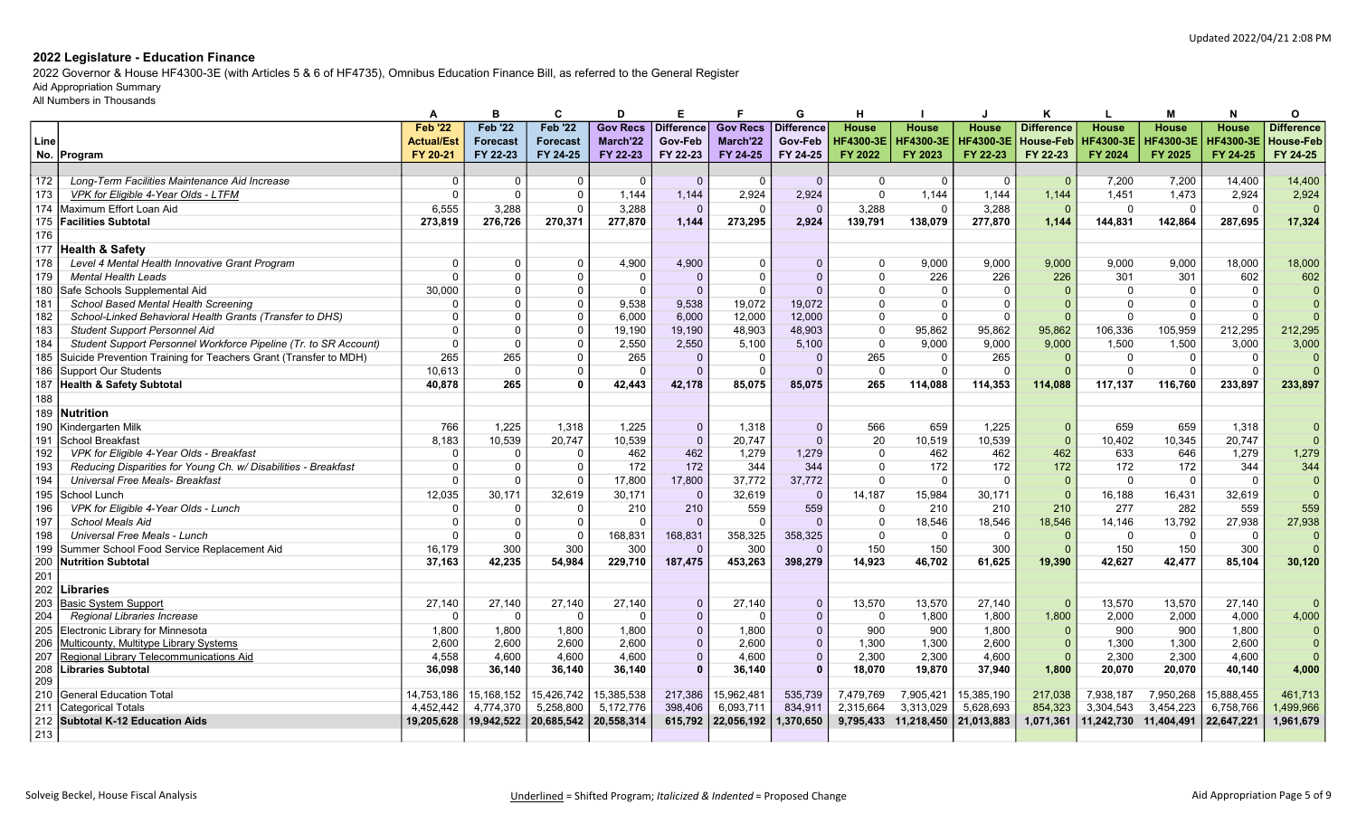2022 Governor & House HF4300-3E (with Articles 5 & 6 of HF4735), Omnibus Education Finance Bill, as referred to the General Register

# Aid Appropriation Summary

|      |                                                                  | А                 | в               | C               | D               | Е                 |                 | G            | н                |                      |                  | к                 | L                | м                | N                | 0                 |
|------|------------------------------------------------------------------|-------------------|-----------------|-----------------|-----------------|-------------------|-----------------|--------------|------------------|----------------------|------------------|-------------------|------------------|------------------|------------------|-------------------|
|      |                                                                  | <b>Feb '22</b>    | <b>Feb '22</b>  | <b>Feb '22</b>  | <b>Gov Recs</b> | <b>Difference</b> | <b>Gov Recs</b> | Difference   | <b>House</b>     | <b>House</b>         | <b>House</b>     | <b>Difference</b> | <b>House</b>     | House            | <b>House</b>     | <b>Difference</b> |
| Line |                                                                  | <b>Actual/Est</b> | <b>Forecast</b> | <b>Forecast</b> | March'22        | Gov-Feb           | March'22        | Gov-Feb      | <b>HF4300-3E</b> | <b>HF4300-3E</b>     | <b>HF4300-3E</b> | <b>House-Feb</b>  | <b>HF4300-3E</b> | <b>HF4300-3E</b> | <b>HF4300-3E</b> | House-Feb         |
|      | No. Program                                                      | FY 20-21          | FY 22-23        | FY 24-25        | FY 22-23        | FY 22-23          | FY 24-25        | FY 24-25     | FY 2022          | FY 2023              | FY 22-23         | FY 22-23          | FY 2024          | FY 2025          | FY 24-25         | FY 24-25          |
|      |                                                                  |                   |                 |                 |                 |                   |                 |              |                  |                      |                  |                   |                  |                  |                  |                   |
| 172  | Long-Term Facilities Maintenance Aid Increase                    | $\Omega$          | $\Omega$        | $\Omega$        | $\mathbf{0}$    | $\Omega$          | $\overline{0}$  | $\Omega$     | $\Omega$         | $\Omega$             | $\Omega$         | $\Omega$          | 7,200            | 7,200            | 14.400           | 14,400            |
| 173  | VPK for Eligible 4-Year Olds - LTFM                              | $\Omega$          | $\Omega$        | $\Omega$        | 1,144           | 1,144             | 2,924           | 2,924        | $\mathbf{0}$     | 1,144                | 1,144            | 1,144             | 1,451            | 1,473            | 2,924            | 2,924             |
| 174  | Maximum Effort Loan Aid                                          | 6.555             | 3.288           | $\Omega$        | 3,288           | $\Omega$          | $\Omega$        | $\Omega$     | 3,288            | $\Omega$             | 3,288            | $\Omega$          | $\Omega$         | $\Omega$         | $\Omega$         | $\Omega$          |
| 175  | <b>Facilities Subtotal</b>                                       | 273,819           | 276,726         | 270.371         | 277,870         | 1.144             | 273,295         | 2.924        | 139,791          | 138.079              | 277,870          | 1.144             | 144,831          | 142.864          | 287.695          | 17,324            |
| 176  |                                                                  |                   |                 |                 |                 |                   |                 |              |                  |                      |                  |                   |                  |                  |                  |                   |
| 177  | <b>Health &amp; Safety</b>                                       |                   |                 |                 |                 |                   |                 |              |                  |                      |                  |                   |                  |                  |                  |                   |
| 178  | Level 4 Mental Health Innovative Grant Program                   | $\Omega$          | $\Omega$        | $\overline{0}$  | 4.900           | 4.900             | $\Omega$        | $\Omega$     | $\Omega$         | 9.000                | 9.000            | 9,000             | 9.000            | 9.000            | 18.000           | 18,000            |
| 179  | <b>Mental Health Leads</b>                                       | $\Omega$          | $\Omega$        | $\Omega$        | $\Omega$        | $\Omega$          | $\Omega$        | $\Omega$     | $\Omega$         | 226                  | 226              | 226               | 301              | 301              | 602              | 602               |
| 180  | Safe Schools Supplemental Aid                                    | 30,000            | $\Omega$        | $\Omega$        | $\Omega$        | $\Omega$          | $\Omega$        | $\Omega$     | $\Omega$         | $\overline{0}$       | $\Omega$         |                   | $\Omega$         | $\Omega$         | $\Omega$         | $\Omega$          |
| 181  | School Based Mental Health Screening                             | $\Omega$          | $\Omega$        | $\Omega$        | 9,538           | 9,538             | 19,072          | 19.072       | $\Omega$         | $\Omega$             | $\Omega$         |                   | $\Omega$         | $\Omega$         | - 0              | $\Omega$          |
| 182  | School-Linked Behavioral Health Grants (Transfer to DHS)         | $\Omega$          | $\Omega$        | $\Omega$        | 6,000           | 6,000             | 12,000          | 12,000       | $\Omega$         | $\Omega$             | $\Omega$         |                   | $\Omega$         | $\Omega$         | $\Omega$         | $\Omega$          |
| 183  | <b>Student Support Personnel Aid</b>                             | $\Omega$          | $\Omega$        | $\Omega$        | 19,190          | 19,190            | 48,903          | 48.903       | $\mathbf{0}$     | 95,862               | 95,862           | 95,862            | 106,336          | 105,959          | 212,295          | 212,295           |
| 184  | Student Support Personnel Workforce Pipeline (Tr. to SR Account) | $\Omega$          | $\Omega$        | $\Omega$        | 2.550           | 2.550             | 5,100           | 5.100        | $\Omega$         | 9.000                | 9.000            | 9,000             | 1.500            | 1.500            | 3,000            | 3,000             |
| 185  | Suicide Prevention Training for Teachers Grant (Transfer to MDH) | 265               | 265             | $\Omega$        | 265             | $\mathbf{0}$      | $\overline{0}$  | $\Omega$     | 265              | 0                    | 265              | $\Omega$          | 0                | $\mathbf 0$      | $\Omega$         | $\Omega$          |
| 186  | Support Our Students                                             | 10,613            | $\overline{0}$  | $\Omega$        | $\Omega$        | $\Omega$          | $\overline{0}$  | $\Omega$     | $\Omega$         | $\Omega$             | $\Omega$         |                   | $\Omega$         | $\Omega$         | $\Omega$         | $\Omega$          |
| 187  | <b>Health &amp; Safety Subtotal</b>                              | 40,878            | 265             |                 | 42,443          | 42,178            | 85,075          | 85,075       | 265              | 114,088              | 114,353          | 114,088           | 117,137          | 116,760          | 233,897          | 233,897           |
| 188  |                                                                  |                   |                 |                 |                 |                   |                 |              |                  |                      |                  |                   |                  |                  |                  |                   |
| 189  | Nutrition                                                        |                   |                 |                 |                 |                   |                 |              |                  |                      |                  |                   |                  |                  |                  |                   |
| 190  | Kindergarten Milk                                                | 766               | 1,225           | 1,318           | 1,225           | $\mathbf{0}$      | 1,318           | $\mathbf 0$  | 566              | 659                  | 1,225            | $\Omega$          | 659              | 659              | 1,318            | $\Omega$          |
| 191  | İSchool Breakfast                                                | 8,183             | 10,539          | 20,747          | 10,539          | $\overline{0}$    | 20,747          | $\Omega$     | 20               | 10,519               | 10,539           | $\Omega$          | 10.402           | 10,345           | 20.747           | $\overline{0}$    |
| 192  | VPK for Eligible 4-Year Olds - Breakfast                         | $\Omega$          | $\Omega$        | $\Omega$        | 462             | 462               | 1,279           | 1,279        | $\Omega$         | 462                  | 462              | 462               | 633              | 646              | 1.279            | 1,279             |
| 193  | Reducing Disparities for Young Ch. w/ Disabilities - Breakfast   | $\mathbf{0}$      | $\Omega$        | $\Omega$        | 172             | 172               | 344             | 344          | $\Omega$         | 172                  | 172              | 172               | 172              | 172              | 344              | 344               |
| 194  | <b>Universal Free Meals- Breakfast</b>                           | $\Omega$          | $\Omega$        | $\Omega$        | 17.800          | 17,800            | 37.772          | 37.772       | $\Omega$         | $\Omega$             | $\Omega$         | $\Omega$          | $\Omega$         | $\Omega$         | $\Omega$         | $\overline{0}$    |
| 195  | School Lunch                                                     | 12,035            | 30,171          | 32,619          | 30,171          | $\overline{0}$    | 32,619          | $\Omega$     | 14,187           | 15,984               | 30,171           |                   | 16,188           | 16,431           | 32,619           | $\overline{0}$    |
| 196  | VPK for Eligible 4-Year Olds - Lunch                             | $\Omega$          | $\Omega$        | $\Omega$        | 210             | 210               | 559             | 559          | $\Omega$         | 210                  | 210              | 210               | 277              | 282              | 559              | 559               |
| 197  | <b>School Meals Aid</b>                                          | $\Omega$          | $\Omega$        | $\Omega$        | $\Omega$        | $\Omega$          | $\Omega$        |              | $\Omega$         | 18,546               | 18,546           | 18,546            | 14,146           | 13,792           | 27,938           | 27,938            |
| 198  | Universal Free Meals - Lunch                                     | $\Omega$          | $\Omega$        | $\Omega$        | 168,831         | 168,831           | 358,325         | 358,325      | $\Omega$         | $\Omega$             | $\Omega$         | $\Omega$          | $\Omega$         | $\Omega$         | $\Omega$         | $\overline{0}$    |
| 199  | Summer School Food Service Replacement Aid                       | 16,179            | 300             | 300             | 300             | $\Omega$          | 300             | $\Omega$     | 150              | 150                  | 300              |                   | 150              | 150              | 300              | $\Omega$          |
| 200  | <b>Nutrition Subtotal</b>                                        | 37.163            | 42.235          | 54.984          | 229.710         | 187,475           | 453,263         | 398,279      | 14,923           | 46,702               | 61.625           | 19.390            | 42.627           | 42.477           | 85.104           | 30,120            |
| 201  |                                                                  |                   |                 |                 |                 |                   |                 |              |                  |                      |                  |                   |                  |                  |                  |                   |
| 202  | Libraries                                                        |                   |                 |                 |                 |                   |                 |              |                  |                      |                  |                   |                  |                  |                  |                   |
| 203  | <b>Basic System Support</b>                                      | 27,140            | 27,140          | 27,140          | 27,140          | $\Omega$          | 27,140          | $\Omega$     | 13,570           | 13,570               | 27,140           | $\Omega$          | 13,570           | 13,570           | 27,140           | $\Omega$          |
| 204  | Regional Libraries Increase                                      | $\Omega$          | $\Omega$        | $\Omega$        | $\Omega$        | $\overline{0}$    | $\Omega$        | $\Omega$     | $\Omega$         | 1,800                | 1,800            | 1,800             | 2,000            | 2,000            | 4,000            | 4,000             |
| 205  | Electronic Library for Minnesota                                 | 1.800             | 1.800           | 1.800           | 1.800           | $\overline{0}$    | 1.800           | $\Omega$     | 900              | 900                  | 1,800            | $\Omega$          | 900              | 900              | 1.800            | $\Omega$          |
| 206  | Multicounty, Multitype Library Systems                           | 2.600             | 2.600           | 2.600           | 2.600           | $\Omega$          | 2,600           | $\Omega$     | 1.300            | 1,300                | 2.600            |                   | 1.300            | 1.300            | 2.600            | $\Omega$          |
| 207  | Regional Library Telecommunications Aid                          | 4,558             | 4,600           | 4,600           | 4,600           | $\mathbf{0}$      | 4,600           | $\mathbf{0}$ | 2,300            | 2,300                | 4,600            |                   | 2,300            | 2,300            | 4,600            | $\overline{0}$    |
| 208  | Libraries Subtotal                                               | 36,098            | 36,140          | 36,140          | 36,140          | $\mathbf{0}$      | 36,140          | $\mathbf{0}$ | 18,070           | 19,870               | 37,940           | 1,800             | 20,070           | 20,070           | 40.140           | 4,000             |
| 209  |                                                                  |                   |                 |                 |                 |                   |                 |              |                  |                      |                  |                   |                  |                  |                  |                   |
| 210  | <b>General Education Total</b>                                   | 14,753,186        | 15,168,152      | 15,426,742      | 15,385,538      | 217,386           | 15,962,481      | 535,739      | 7,479,769        | 7,905,421            | 15,385,190       | 217,038           | 7,938,187        | 7,950,268        | 15,888,455       | 461,713           |
| 211  | <b>Categorical Totals</b>                                        | 4,452,442         | 4,774,370       | 5,258,800       | 5,172,776       | 398,406           | 6,093,711       | 834,911      | 2,315,664        | 3,313,029            | 5,628,693        | 854,323           | 3,304,543        | 3,454,223        | 6,758,766        | 1,499,966         |
| 212  | Subtotal K-12 Education Aids                                     | 19.205.628        | 19.942.522      | 20,685,542      | 20.558.314      | 615,792           | 22,056,192      | 1.370.650    |                  | 9,795,433 11,218,450 | 21.013.883       | 1,071,361         | 11.242.730       | 11.404.491       | 22.647.221       | 1,961,679         |
| 213  |                                                                  |                   |                 |                 |                 |                   |                 |              |                  |                      |                  |                   |                  |                  |                  |                   |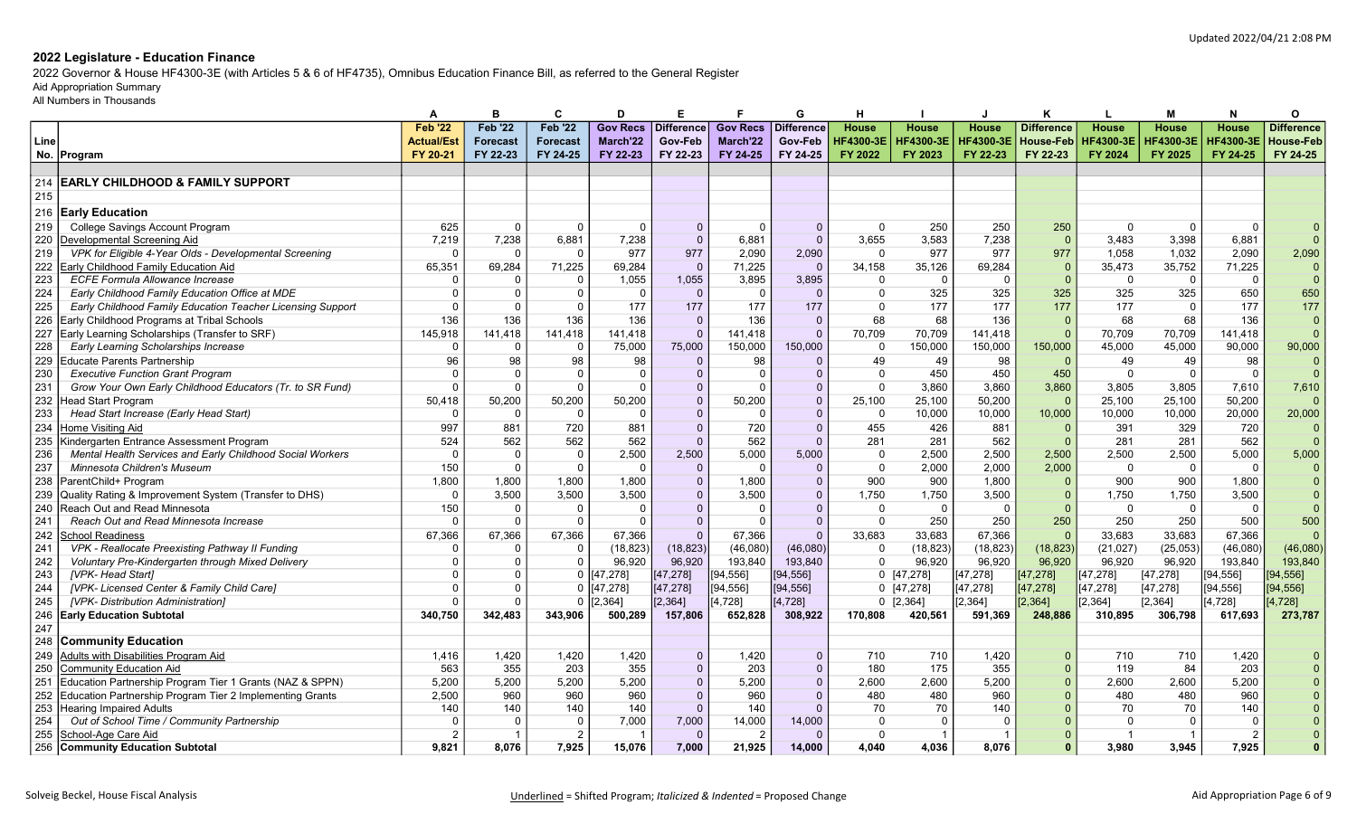2022 Governor & House HF4300-3E (with Articles 5 & 6 of HF4735), Omnibus Education Finance Bill, as referred to the General Register

# Aid Appropriation Summary

|            |                                                                                       | A                 | в                 | C                 | D               | E.                |                 | G              | н                |                  |                  | Κ                 | L.               | м                | N                | Ω                 |
|------------|---------------------------------------------------------------------------------------|-------------------|-------------------|-------------------|-----------------|-------------------|-----------------|----------------|------------------|------------------|------------------|-------------------|------------------|------------------|------------------|-------------------|
|            |                                                                                       | <b>Feb '22</b>    | <b>Feb '22</b>    | <b>Feb '22</b>    | <b>Gov Recs</b> | <b>Difference</b> | <b>Gov Recs</b> | Difference     | <b>House</b>     | <b>House</b>     | <b>House</b>     | <b>Difference</b> | House            | House            | <b>House</b>     | <b>Difference</b> |
| Line       |                                                                                       | <b>Actual/Est</b> | <b>Forecast</b>   | <b>Forecast</b>   | March'22        | Gov-Feb           | March'22        | Gov-Feb        | <b>HF4300-3E</b> | <b>HF4300-3E</b> | <b>HF4300-3E</b> | <b>House-Feb</b>  | <b>HF4300-3E</b> | <b>HF4300-3E</b> | <b>HF4300-3E</b> | <b>House-Feb</b>  |
| No.        | Program                                                                               | FY 20-21          | FY 22-23          | FY 24-25          | FY 22-23        | FY 22-23          | FY 24-25        | FY 24-25       | FY 2022          | FY 2023          | FY 22-23         | FY 22-23          | FY 2024          | FY 2025          | FY 24-25         | FY 24-25          |
|            |                                                                                       |                   |                   |                   |                 |                   |                 |                |                  |                  |                  |                   |                  |                  |                  |                   |
| 214        | <b>EARLY CHILDHOOD &amp; FAMILY SUPPORT</b>                                           |                   |                   |                   |                 |                   |                 |                |                  |                  |                  |                   |                  |                  |                  |                   |
| 215        |                                                                                       |                   |                   |                   |                 |                   |                 |                |                  |                  |                  |                   |                  |                  |                  |                   |
| 216        | <b>Early Education</b>                                                                |                   |                   |                   |                 |                   |                 |                |                  |                  |                  |                   |                  |                  |                  |                   |
| 219        |                                                                                       | 625               | $\Omega$          | $\Omega$          | $\Omega$        | $\Omega$          | $\Omega$        | $\mathbf{0}$   | $\Omega$         | 250              | 250              |                   | $\Omega$         | $\Omega$         | $\Omega$         |                   |
|            | College Savings Account Program                                                       |                   |                   |                   |                 | $\Omega$          |                 | $\Omega$       | 3,655            |                  |                  | 250<br>$\Omega$   |                  |                  |                  | $\Omega$          |
| 220<br>219 | Developmental Screening Aid<br>VPK for Eligible 4-Year Olds - Developmental Screening | 7,219<br>$\Omega$ | 7,238<br>$\Omega$ | 6,881<br>$\Omega$ | 7,238<br>977    | 977               | 6,881           |                | $\Omega$         | 3,583<br>977     | 7,238<br>977     | 977               | 3.483<br>1.058   | 3,398<br>1.032   | 6,881<br>2.090   | 2,090             |
|            |                                                                                       |                   |                   |                   |                 |                   | 2,090           | 2,090          |                  |                  |                  |                   |                  |                  |                  |                   |
| 222        | Early Childhood Family Education Aid                                                  | 65,351            | 69,284            | 71,225            | 69,284          | $\overline{0}$    | 71,225          | $\Omega$       | 34,158           | 35,126           | 69,284           | $\Omega$          | 35,473           | 35,752           | 71,225           |                   |
| 223        | <b>ECFE Formula Allowance Increase</b>                                                | 0                 | $\Omega$          | $\Omega$          | 1,055           | 1,055             | 3,895           | 3,895          | $\Omega$         | $\mathbf 0$      | $\Omega$         |                   | $\mathbf 0$      | $\Omega$         | $\Omega$         | $\Omega$          |
| 224        | Early Childhood Family Education Office at MDE                                        | $\Omega$          | $\Omega$          | $\cap$            | $\Omega$        | $\overline{0}$    | $\overline{0}$  | $\Omega$       | $\Omega$         | 325              | 325              | 325               | 325              | 325              | 650              | 650               |
| 225        | Early Childhood Family Education Teacher Licensing Support                            | $\Omega$          | $\Omega$          |                   | 177             | 177               | 177             | 177            | $\Omega$         | 177              | 177              | 177               | 177              | $\Omega$         | 177              | 177               |
| 226        | Early Childhood Programs at Tribal Schools                                            | 136               | 136               | 136               | 136             | $\mathbf{0}$      | 136             | $\Omega$       | 68               | 68               | 136              | $\Omega$          | 68               | 68               | 136              | $\mathbf 0$       |
| 227        | Early Learning Scholarships (Transfer to SRF)                                         | 145.918           | 141,418           | 141.418           | 141.418         | $\overline{0}$    | 141.418         | $\Omega$       | 70.709           | 70.709           | 141.418          | $\Omega$          | 70.709           | 70.709           | 141.418          | $\Omega$          |
| 228        | Early Learning Scholarships Increase                                                  | 0                 | $\Omega$          | $\Omega$          | 75,000          | 75,000            | 150,000         | 150,000        | $\Omega$         | 150,000          | 150,000          | 150,000           | 45,000           | 45,000           | 90,000           | 90,000            |
| 229        | <b>Educate Parents Partnership</b>                                                    | 96                | 98                | 98                | 98              | $\Omega$          | 98              | $\Omega$       | 49               | 49               | 98               | $\Omega$          | 49               | 49               | 98               |                   |
| 230        | <b>Executive Function Grant Program</b>                                               | $\Omega$          | $\Omega$          | $\cap$            | $\mathbf{0}$    | $\Omega$          | $\overline{0}$  | $\Omega$       | $\Omega$         | 450              | 450              | 450               | $\mathbf 0$      | $\Omega$         | $\Omega$         | $\Omega$          |
| 231        | Grow Your Own Early Childhood Educators (Tr. to SR Fund)                              | $\Omega$          | $\Omega$          | $\Omega$          | $\Omega$        | $\overline{0}$    | $\Omega$        | $\Omega$       | $\Omega$         | 3,860            | 3,860            | 3,860             | 3,805            | 3,805            | 7,610            | 7,610             |
| 232        | <b>Head Start Program</b>                                                             | 50,418            | 50,200            | 50,200            | 50,200          | $\Omega$          | 50,200          | $\Omega$       | 25,100           | 25.100           | 50,200           | $\Omega$          | 25.100           | 25.100           | 50.200           | $\Omega$          |
| 233        | Head Start Increase (Early Head Start)                                                | C                 | $\Omega$          | - 0               | $\Omega$        | $\Omega$          | $\Omega$        | $\mathbf{0}$   | $\Omega$         | 10,000           | 10,000           | 10,000            | 10,000           | 10,000           | 20,000           | 20,000            |
| 234        | Home Visiting Aid                                                                     | 997               | 881               | 720               | 881             | $\overline{0}$    | 720             | $\Omega$       | 455              | 426              | 881              | $\Omega$          | 391              | 329              | 720              |                   |
| 235        | Kindergarten Entrance Assessment Program                                              | 524               | 562               | 562               | 562             | $\Omega$          | 562             | $\Omega$       | 281              | 281              | 562              | $\Omega$          | 281              | 281              | 562              | $\Omega$          |
| 236        | Mental Health Services and Early Childhood Social Workers                             | $\Omega$          | $\Omega$          | $\overline{0}$    | 2,500           | 2,500             | 5,000           | 5,000          | $\Omega$         | 2,500            | 2,500            | 2,500             | 2,500            | 2,500            | 5,000            | 5,000             |
| 237        | Minnesota Children's Museum                                                           | 150               | $\Omega$          | $\cap$            | $\Omega$        | $\Omega$          | $\Omega$        | $\Omega$       | $\Omega$         | 2.000            | 2,000            | 2,000             | $\Omega$         | $\Omega$         | $\Omega$         |                   |
| 238        | ParentChild+ Program                                                                  | 1.800             | 1,800             | 1,800             | 1,800           | $\Omega$          | 1,800           | $\mathbf{0}$   | 900              | 900              | 1,800            | $\Omega$          | 900              | 900              | 1.800            |                   |
| 239        | Quality Rating & Improvement System (Transfer to DHS)                                 | $\Omega$          | 3,500             | 3,500             | 3,500           | $\Omega$          | 3,500           | $\Omega$       | 1,750            | 1,750            | 3,500            |                   | 1,750            | 1,750            | 3,500            |                   |
| 240        | Reach Out and Read Minnesota                                                          | 150               | $\Omega$          | $\cap$            | $\Omega$        | $\Omega$          | $\Omega$        | $\Omega$       | $\Omega$         | $\Omega$         | $\Omega$         | $\Omega$          | $\Omega$         | $\Omega$         | $\Omega$         |                   |
| 241        | Reach Out and Read Minnesota Increase                                                 | C                 | $\Omega$          | $\Omega$          | $\Omega$        | $\Omega$          | $\Omega$        | $\Omega$       | $\Omega$         | 250              | 250              | 250               | 250              | 250              | 500              | 500               |
| 242        | <b>School Readiness</b>                                                               | 67,366            | 67,366            | 67,366            | 67,366          | $\Omega$          | 67,366          | $\Omega$       | 33,683           | 33,683           | 67,366           | $\Omega$          | 33,683           | 33,683           | 67,366           |                   |
| 241        | VPK - Reallocate Preexisting Pathway II Funding                                       | $\Omega$          | $\Omega$          | $\Omega$          | (18, 823)       | (18, 823)         | (46,080)        | (46,080)       | $\mathbf 0$      | (18, 823)        | (18, 823)        | (18, 823)         | (21, 027)        | (25,053)         | (46,080)         | (46,080)          |
| 242        | Voluntary Pre-Kindergarten through Mixed Delivery                                     | 0                 | $\Omega$          |                   | 96,920          | 96,920            | 193,840         | 193,840        | $\Omega$         | 96,920           | 96,920           | 96,920            | 96,920           | 96,920           | 193,840          | 193,840           |
| 243        | <b>IVPK-Head Start1</b>                                                               | $\Omega$          | $\Omega$          | $\mathbf 0$       | [47, 278]       | [47, 278]         | [94,556]        | [94,556]       |                  | $0$ [47,278]     | [47,278]         | [47,278]          | [47, 278]        | [47, 278]        | [94, 556]        | [94, 556]         |
| 244        | [VPK-Licensed Center & Family Child Care]                                             | $\Omega$          | $\Omega$          | $\Omega$          | [47, 278]       | [47, 278]         | [94, 556]       | [94, 556]      |                  | $0$ [47,278]     | [47, 278]        | [47, 278]         | [47, 278]        | [47, 278]        | [94, 556]        | [94, 556]         |
| 245        | [VPK- Distribution Administration]                                                    | $\Omega$          | $\Omega$          | $\Omega$          | [2, 364]        | [2, 364]          | [4,728]         | [4, 728]       |                  | $0$ [2,364]      | [2, 364]         | [2, 364]          | [2, 364]         | [2, 364]         | [4, 728]         | [4, 728]          |
| 246        | <b>Early Education Subtotal</b>                                                       | 340,750           | 342,483           | 343,906           | 500,289         | 157,806           | 652,828         | 308,922        | 170,808          | 420,561          | 591,369          | 248,886           | 310.895          | 306,798          | 617,693          | 273,787           |
| 247        |                                                                                       |                   |                   |                   |                 |                   |                 |                |                  |                  |                  |                   |                  |                  |                  |                   |
| 248        | <b>Community Education</b>                                                            |                   |                   |                   |                 |                   |                 |                |                  |                  |                  |                   |                  |                  |                  |                   |
| 249        | Adults with Disabilities Program Aid                                                  | 1,416             | 1,420             | 1,420             | 1,420           | $\overline{0}$    | 1,420           | $\Omega$       | 710              | 710              | 1,420            | $\Omega$          | 710              | 710              | 1,420            |                   |
| 250        | <b>Community Education Aid</b>                                                        | 563               | 355               | 203               | 355             | $\overline{0}$    | 203             | $\mathbf{0}$   | 180              | 175              | 355              |                   | 119              | 84               | 203              |                   |
| 251        | Education Partnership Program Tier 1 Grants (NAZ & SPPN)                              | 5.200             | 5,200             | 5.200             | 5,200           | $\Omega$          | 5,200           | $\overline{0}$ | 2,600            | 2.600            | 5,200            |                   | 2.600            | 2,600            | 5.200            |                   |
| 252        | Education Partnership Program Tier 2 Implementing Grants                              | 2,500             | 960               | 960               | 960             | $\Omega$          | 960             | $\overline{0}$ | 480              | 480              | 960              |                   | 480              | 480              | 960              |                   |
| 253        | <b>Hearing Impaired Adults</b>                                                        | 140               | 140               | 140               | 140             | $\Omega$          | 140             | $\Omega$       | 70               | 70               | 140              |                   | 70               | 70               | 140              |                   |
| 254        | Out of School Time / Community Partnership                                            | $\Omega$          | $\Omega$          | 0                 | 7,000           | 7,000             | 14,000          | 14,000         | $\Omega$         | $\overline{0}$   | $\Omega$         |                   | $\Omega$         | $\Omega$         | $\Omega$         |                   |
| 255        | School-Age Care Aid                                                                   |                   | -1                | 2                 |                 | $\Omega$          | 2               | $\Omega$       | $\Omega$         | -1               |                  |                   |                  |                  | $\overline{2}$   |                   |
|            | 256 Community Education Subtotal                                                      | 9.821             | 8.076             | 7.925             | 15.076          | 7.000             | 21.925          | 14.000         | 4.040            | 4.036            | 8.076            |                   | 3.980            | 3.945            | 7.925            | $\Omega$          |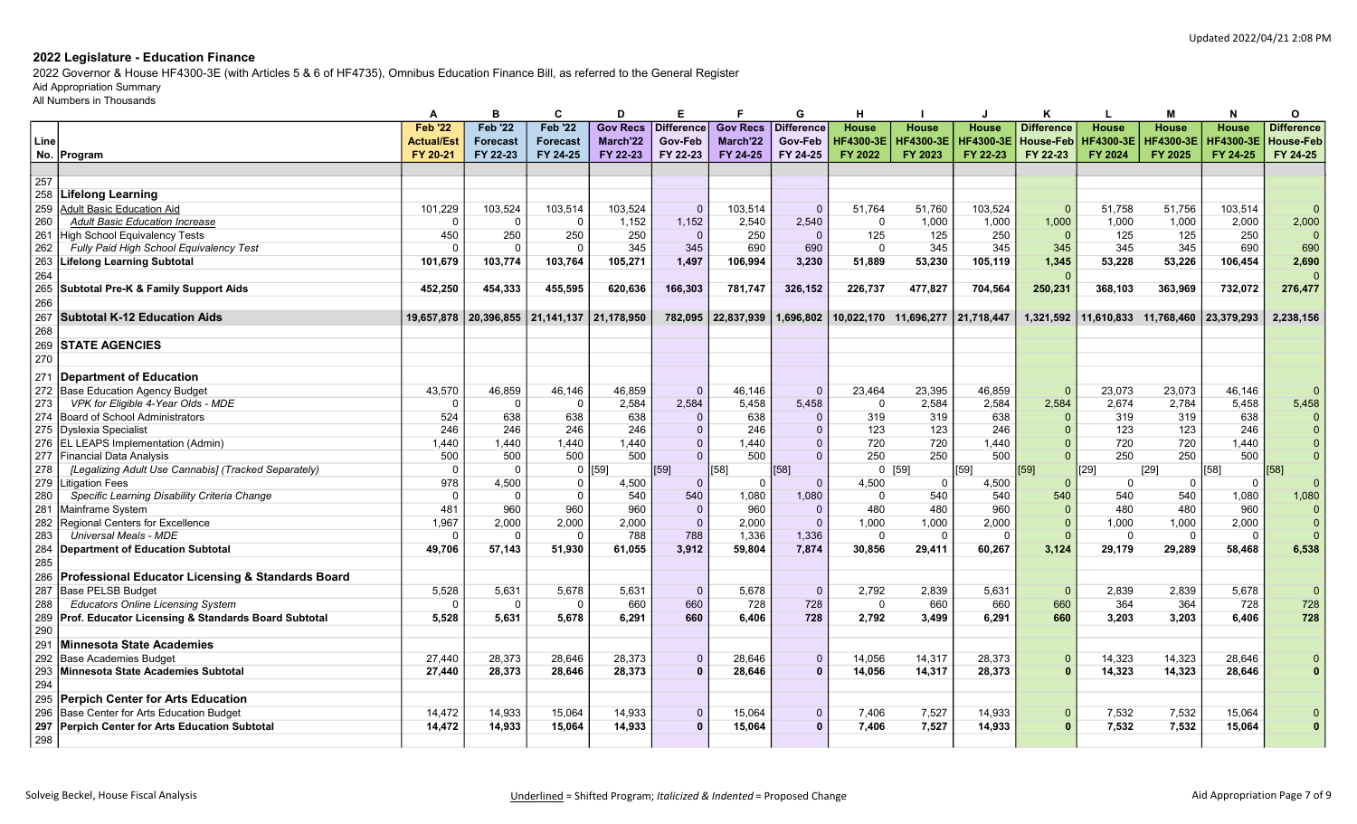2022 Governor & House HF4300-3E (with Articles 5 & 6 of HF4735), Omnibus Education Finance Bill, as referred to the General Register

# Aid Appropriation Summary

|      |                                                      | А                 | в               | C               | D               | Е.                |                 | G                 | н                |                  |                  | к                 | L                | м                | N                | 0                 |
|------|------------------------------------------------------|-------------------|-----------------|-----------------|-----------------|-------------------|-----------------|-------------------|------------------|------------------|------------------|-------------------|------------------|------------------|------------------|-------------------|
|      |                                                      | <b>Feb '22</b>    | <b>Feb '22</b>  | <b>Feb '22</b>  | <b>Gov Recs</b> | <b>Difference</b> | <b>Gov Recs</b> | <b>Difference</b> | <b>House</b>     | <b>House</b>     | <b>House</b>     | <b>Difference</b> | <b>House</b>     | <b>House</b>     | <b>House</b>     | <b>Difference</b> |
| Line |                                                      | <b>Actual/Est</b> | <b>Forecast</b> | <b>Forecast</b> | March'22        | Gov-Feb           | March'22        | Gov-Feb           | <b>HF4300-3E</b> | <b>HF4300-3E</b> | <b>HF4300-3E</b> | <b>House-Feb</b>  | <b>HF4300-3E</b> | <b>HF4300-3E</b> | <b>HF4300-3E</b> | House-Feb         |
|      | No. Program                                          | FY 20-21          | FY 22-23        | FY 24-25        | FY 22-23        | FY 22-23          | FY 24-25        | FY 24-25          | FY 2022          | FY 2023          | FY 22-23         | FY 22-23          | FY 2024          | FY 2025          | FY 24-25         | FY 24-25          |
|      |                                                      |                   |                 |                 |                 |                   |                 |                   |                  |                  |                  |                   |                  |                  |                  |                   |
| 257  |                                                      |                   |                 |                 |                 |                   |                 |                   |                  |                  |                  |                   |                  |                  |                  |                   |
| 258  | Lifelong Learning                                    |                   |                 |                 |                 |                   |                 |                   |                  |                  |                  |                   |                  |                  |                  |                   |
| 259  | <b>Adult Basic Education Aid</b>                     | 101,229           | 103,524         | 103,514         | 103,524         | $\Omega$          | 103,514         | $\Omega$          | 51,764           | 51,760           | 103,524          |                   | 51.758           | 51,756           | 103,514          | $\Omega$          |
| 260  | <b>Adult Basic Education Increase</b>                | $\Omega$          | $\Omega$        | $\overline{0}$  | 1,152           | 1,152             | 2,540           | 2.540             | $\mathbf{0}$     | 1,000            | 1,000            | 1,000             | 1,000            | 1,000            | 2.000            | 2,000             |
| 261  | <b>High School Equivalency Tests</b>                 | 450               | 250             | 250             | 250             | $\overline{0}$    | 250             | $\Omega$          | 125              | 125              | 250              | $\Omega$          | 125              | 125              | 250              | $\overline{0}$    |
| 262  | Fully Paid High School Equivalency Test              | $\Omega$          | $\Omega$        | - 0             | 345             | 345               | 690             | 690               | $\Omega$         | 345              | 345              | 345               | 345              | 345              | 690              | 690               |
| 263  | <b>Lifelong Learning Subtotal</b>                    | 101,679           | 103,774         | 103,764         | 105,271         | 1,497             | 106,994         | 3,230             | 51,889           | 53,230           | 105,119          | 1,345             | 53,228           | 53,226           | 106,454          | 2,690             |
| 264  |                                                      |                   |                 |                 |                 |                   |                 |                   |                  |                  |                  |                   |                  |                  |                  | $\Omega$          |
| 265  | <b>Subtotal Pre-K &amp; Family Support Aids</b>      | 452,250           | 454,333         | 455,595         | 620,636         | 166,303           | 781,747         | 326,152           | 226,737          | 477,827          | 704,564          | 250,231           | 368,103          | 363,969          | 732,072          | 276,477           |
| 266  |                                                      |                   |                 |                 |                 |                   |                 |                   |                  |                  |                  |                   |                  |                  |                  |                   |
| 267  | <b>Subtotal K-12 Education Aids</b>                  | 19,657,878        | 20,396,855      | 21,141,137      | 21,178,950      | 782,095           | 22,837,939      | 1,696,802         |                  |                  | 21,718,447       | 1,321,592         | 11,610,833       | 11,768,460       | 23,379,293       | 2,238,156         |
| 268  |                                                      |                   |                 |                 |                 |                   |                 |                   |                  |                  |                  |                   |                  |                  |                  |                   |
| 269  | <b>STATE AGENCIES</b>                                |                   |                 |                 |                 |                   |                 |                   |                  |                  |                  |                   |                  |                  |                  |                   |
| 270  |                                                      |                   |                 |                 |                 |                   |                 |                   |                  |                  |                  |                   |                  |                  |                  |                   |
|      |                                                      |                   |                 |                 |                 |                   |                 |                   |                  |                  |                  |                   |                  |                  |                  |                   |
| 271  | Department of Education                              |                   |                 |                 |                 |                   |                 |                   |                  |                  |                  |                   |                  |                  |                  |                   |
| 272  | Base Education Agency Budget                         | 43,570            | 46,859          | 46,146          | 46,859          | $\Omega$          | 46,146          | $\Omega$          | 23,464           | 23,395           | 46,859           |                   | 23,073           | 23,073           | 46,146           | $\Omega$          |
| 273  | VPK for Eligible 4-Year Olds - MDE                   |                   | $\Omega$        | - 0             | 2,584           | 2,584             | 5,458           | 5.458             | $\Omega$         | 2,584            | 2,584            | 2,584             | 2.674            | 2,784            | 5.458            | 5,458             |
| 274  | <b>Board of School Administrators</b>                | 524               | 638             | 638             | 638             | $\Omega$          | 638             | $\Omega$          | 319              | 319              | 638              |                   | 319              | 319              | 638              | $\overline{0}$    |
| 275  | <b>Dyslexia Specialist</b>                           | 246               | 246             | 246             | 246             | $\Omega$          | 246             | $\mathbf{0}$      | 123              | 123              | 246              |                   | 123              | 123              | 246              | $\Omega$          |
| 276  | <b>EL LEAPS Implementation (Admin)</b>               | 1.440             | 1.440           | 1.440           | 1.440           | $\overline{0}$    | 1.440           | $\Omega$          | 720              | 720              | 1.440            |                   | 720              | 720              | 1.440            | $\Omega$          |
| 277  | Financial Data Analysis                              | 500               | 500             | 500             | 500             | $\Omega$          | 500             | $\Omega$          | 250              | 250              | 500              |                   | 250              | 250              | 500              | $\Omega$          |
| 278  | [Legalizing Adult Use Cannabis] (Tracked Separately) | $\Omega$          | $\Omega$        | $\overline{0}$  | [59]            | [59]              | [58]            | [58]              |                  | 0[59]            | [59]             | [59]              | [29]             | [29]             | [58]             | [58]              |
| 279  | Litigation Fees                                      | 978               | 4,500           | $\Omega$        | 4,500           | $\Omega$          | $\Omega$        | $\Omega$          | 4,500            | 0                | 4,500            |                   | $\Omega$         | $\Omega$         | $\mathbf 0$      | $\Omega$          |
| 280  | Specific Learning Disability Criteria Change         | $\Omega$          | $\Omega$        | $\overline{0}$  | 540             | 540               | 1,080           | 1.080             | $\Omega$         | 540              | 540              | 540               | 540              | 540              | 1,080            | 1,080             |
| 281  | Mainframe System                                     | 481               | 960             | 960             | 960             | $\mathbf{0}$      | 960             | $\Omega$          | 480              | 480              | 960              |                   | 480              | 480              | 960              | $\overline{0}$    |
| 282  | Regional Centers for Excellence                      | 1.967             | 2,000           | 2,000           | 2.000           | $\Omega$          | 2,000           | $\Omega$          | 1,000            | 1,000            | 2,000            |                   | 1.000            | 1.000            | 2,000            | $\overline{0}$    |
| 283  | <b>Universal Meals - MDE</b>                         | C                 | $\Omega$        | - 0             | 788             | 788               | 1,336           | 1,336             | $\Omega$         | $\Omega$         | $\Omega$         |                   | $\Omega$         | $\Omega$         | $\Omega$         | $\Omega$          |
| 284  | <b>Department of Education Subtotal</b>              | 49.706            | 57,143          | 51,930          | 61.055          | 3.912             | 59,804          | 7.874             | 30,856           | 29,411           | 60,267           | 3,124             | 29,179           | 29,289           | 58.468           | 6,538             |
| 285  |                                                      |                   |                 |                 |                 |                   |                 |                   |                  |                  |                  |                   |                  |                  |                  |                   |
| 286  | Professional Educator Licensing & Standards Board    |                   |                 |                 |                 |                   |                 |                   |                  |                  |                  |                   |                  |                  |                  |                   |
| 287  | <b>Base PELSB Budget</b>                             | 5,528             | 5,631           | 5,678           | 5,631           | $\Omega$          | 5,678           | $\Omega$          | 2,792            | 2,839            | 5,631            | - 0               | 2,839            | 2,839            | 5,678            | $\Omega$          |
| 288  | <b>Educators Online Licensing System</b>             | $\Omega$          | $\Omega$        | - 0             | 660             | 660               | 728             | 728               | $\Omega$         | 660              | 660              | 660               | 364              | 364              | 728              | 728               |
| 289  | Prof. Educator Licensing & Standards Board Subtotal  | 5,528             | 5,631           | 5,678           | 6,291           | 660               | 6,406           | 728               | 2,792            | 3,499            | 6,291            | 660               | 3,203            | 3,203            | 6,406            | 728               |
| 290  |                                                      |                   |                 |                 |                 |                   |                 |                   |                  |                  |                  |                   |                  |                  |                  |                   |
| 291  | Minnesota State Academies                            |                   |                 |                 |                 |                   |                 |                   |                  |                  |                  |                   |                  |                  |                  |                   |
| 292  | <b>Base Academies Budget</b>                         | 27.440            | 28,373          | 28.646          | 28,373          | $\mathbf{0}$      | 28,646          | $\Omega$          | 14,056           | 14,317           | 28,373           |                   | 14,323           | 14,323           | 28,646           |                   |
| 293  | <b>Minnesota State Academies Subtotal</b>            | 27.440            | 28,373          | 28,646          | 28,373          | $\Omega$          | 28,646          | $\Omega$          | 14,056           | 14,317           | 28,373           |                   | 14,323           | 14,323           | 28,646           |                   |
| 294  |                                                      |                   |                 |                 |                 |                   |                 |                   |                  |                  |                  |                   |                  |                  |                  |                   |
| 295  | Perpich Center for Arts Education                    |                   |                 |                 |                 |                   |                 |                   |                  |                  |                  |                   |                  |                  |                  |                   |
| 296  | Base Center for Arts Education Budget                | 14,472            | 14,933          | 15,064          | 14,933          | $\mathbf{0}$      | 15,064          | $\Omega$          | 7,406            | 7,527            | 14,933           |                   | 7,532            | 7,532            | 15,064           |                   |
| 297  | Perpich Center for Arts Education Subtotal           | 14,472            | 14.933          | 15.064          | 14.933          | $\Omega$          | 15.064          | $\Omega$          | 7.406            | 7.527            | 14,933           |                   | 7.532            | 7.532            | 15.064           |                   |
| 298  |                                                      |                   |                 |                 |                 |                   |                 |                   |                  |                  |                  |                   |                  |                  |                  |                   |
|      |                                                      |                   |                 |                 |                 |                   |                 |                   |                  |                  |                  |                   |                  |                  |                  |                   |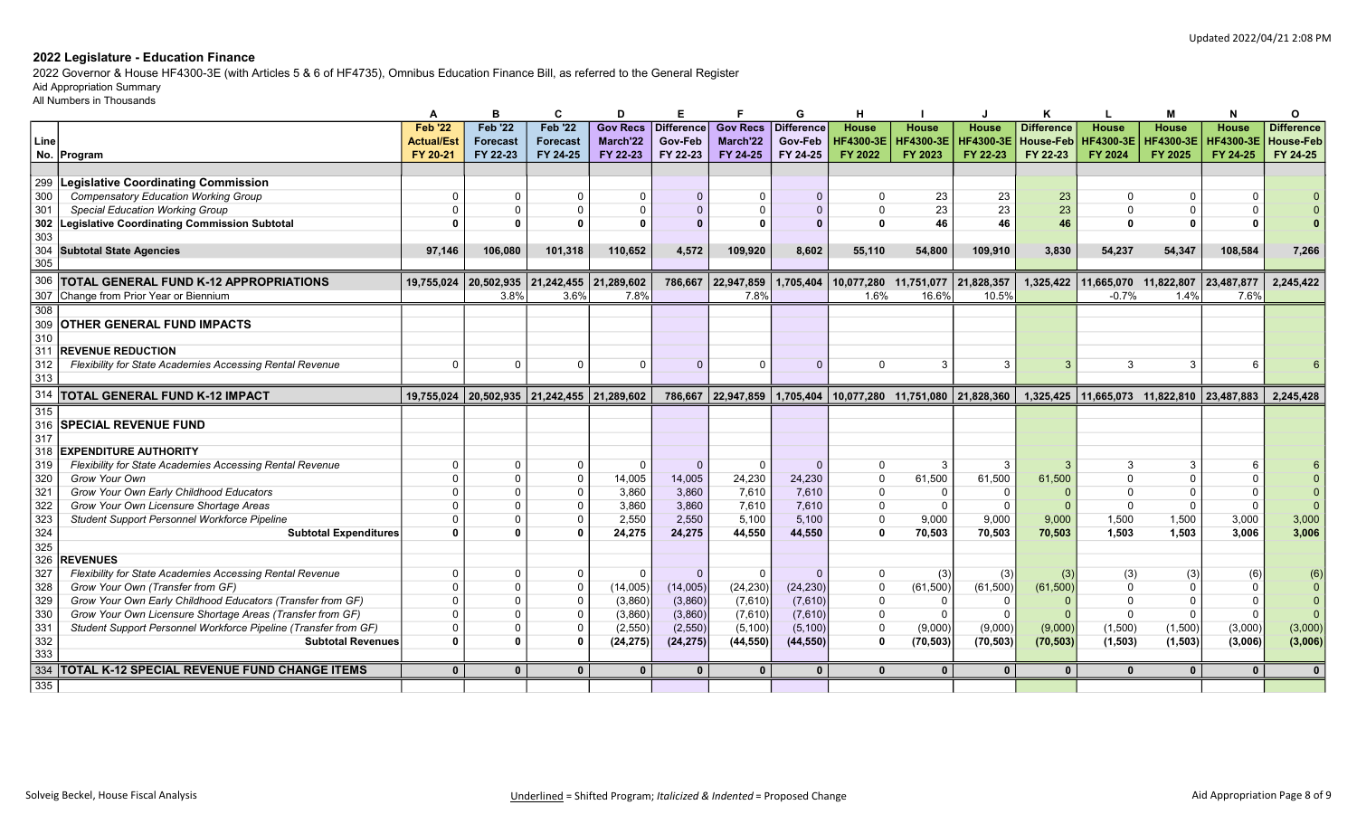2022 Governor & House HF4300-3E (with Articles 5 & 6 of HF4735), Omnibus Education Finance Bill, as referred to the General Register

# Aid Appropriation Summary

|                  |                                                                 | A                 |                 | C                                                        | D               |                   |                      | G                    |                       |                                  |                       |                   |                                 |                  | N                | 0                 |
|------------------|-----------------------------------------------------------------|-------------------|-----------------|----------------------------------------------------------|-----------------|-------------------|----------------------|----------------------|-----------------------|----------------------------------|-----------------------|-------------------|---------------------------------|------------------|------------------|-------------------|
|                  |                                                                 | <b>Feb '22</b>    | <b>Feb '22</b>  | <b>Feb '22</b>                                           | <b>Gov Recs</b> | <b>Difference</b> | <b>Gov Recs</b>      | Difference           | <b>House</b>          | <b>House</b>                     | <b>House</b>          | <b>Difference</b> | <b>House</b>                    | <b>House</b>     | <b>House</b>     | <b>Difference</b> |
| Line             |                                                                 | <b>Actual/Est</b> | <b>Forecast</b> | <b>Forecast</b>                                          | March'22        | Gov-Feb           | March'22             | Gov-Feb              | <b>HF4300-3E</b>      | <b>HF4300-3E</b>                 | <b>HF4300-3E</b>      | <b>House-Feb</b>  | <b>HF4300-3E</b>                | <b>HF4300-3E</b> | <b>HF4300-3E</b> | <b>House-Feb</b>  |
|                  | No. Program                                                     | FY 20-21          | FY 22-23        | FY 24-25                                                 | FY 22-23        | FY 22-23          | FY 24-25             | FY 24-25             | FY 2022               | FY 2023                          | FY 22-23              | FY 22-23          | FY 2024                         | FY 2025          | FY 24-25         | FY 24-25          |
|                  |                                                                 |                   |                 |                                                          |                 |                   |                      |                      |                       |                                  |                       |                   |                                 |                  |                  |                   |
| 299              | <b>Legislative Coordinating Commission</b>                      |                   |                 |                                                          |                 |                   |                      |                      |                       |                                  |                       |                   |                                 |                  |                  |                   |
| 300              | <b>Compensatory Education Working Group</b>                     | 0                 | - 0             | <sup>n</sup>                                             |                 | $\Omega$          | $\Omega$             | $\Omega$             |                       | 23                               | 23                    | 23                |                                 |                  | $\Omega$         |                   |
| 301              | <b>Special Education Working Group</b>                          |                   | $\Omega$        |                                                          |                 | $\Omega$          | $\Omega$             |                      | $\Omega$              | 23                               | 23                    | 23                | $\Omega$                        | $\Omega$         |                  |                   |
| 302              | <b>Legislative Coordinating Commission Subtotal</b>             |                   | $\Omega$        |                                                          |                 |                   | $\mathbf{0}$         |                      | $\Omega$              | 46                               | 46                    | 46                | $\Omega$                        | $\Omega$         |                  |                   |
| 303              |                                                                 |                   |                 |                                                          |                 |                   |                      |                      |                       |                                  |                       |                   |                                 |                  |                  |                   |
| 304              | <b>Subtotal State Agencies</b>                                  | 97.146            | 106,080         | 101,318                                                  | 110,652         | 4,572             | 109,920              | 8.602                | 55.110                | 54.800                           | 109,910               | 3,830             | 54.237                          | 54.347           | 108,584          | 7,266             |
| 305              |                                                                 |                   |                 |                                                          |                 |                   |                      |                      |                       |                                  |                       |                   |                                 |                  |                  |                   |
| 306              |                                                                 |                   |                 |                                                          |                 |                   |                      |                      |                       |                                  |                       |                   |                                 |                  |                  |                   |
|                  | <b>TOTAL GENERAL FUND K-12 APPROPRIATIONS</b>                   | 19,755,024        | 20,502,935      | 21,242,455                                               | 21,289,602      | 786,667           | 22,947,859           | 1,705,404            | 10,077,280 11,751,077 |                                  | 21,828,357            | 1,325,422         | 11,665,070                      | 11,822,807       | 23,487,877       | 2,245,422         |
|                  | 307 Change from Prior Year or Biennium                          |                   | 3.8%            | 3.6%                                                     | 7.8%            |                   | 7.8%                 |                      | 1.6%                  | 16.6%                            | 10.5%                 |                   | $-0.7%$                         | 1.4%             | 7.6%             |                   |
| 308              |                                                                 |                   |                 |                                                          |                 |                   |                      |                      |                       |                                  |                       |                   |                                 |                  |                  |                   |
| 309              | <b>OTHER GENERAL FUND IMPACTS</b>                               |                   |                 |                                                          |                 |                   |                      |                      |                       |                                  |                       |                   |                                 |                  |                  |                   |
| 310              |                                                                 |                   |                 |                                                          |                 |                   |                      |                      |                       |                                  |                       |                   |                                 |                  |                  |                   |
| 311              | <b>REVENUE REDUCTION</b>                                        |                   |                 |                                                          |                 |                   |                      |                      |                       |                                  |                       |                   |                                 |                  |                  |                   |
| 312              | Flexibility for State Academies Accessing Rental Revenue        | $\Omega$          | $\Omega$        | $\Omega$                                                 |                 | $\Omega$          | $\Omega$             | $\Omega$             | $\Omega$              | 3                                |                       |                   | 3                               | 3                | -6               |                   |
| 313              |                                                                 |                   |                 |                                                          |                 |                   |                      |                      |                       |                                  |                       |                   |                                 |                  |                  |                   |
| 314              | <b>TOTAL GENERAL FUND K-12 IMPACT</b>                           | 19,755,024        |                 | $\vert$ 20,502,935 $\vert$ 21,242,455 $\vert$ 21,289,602 |                 | 786,667           | 22,947,859 1,705,404 |                      |                       | 10,077,280 11,751,080 21,828,360 |                       |                   | 1,325,425 11,665,073 11,822,810 |                  | 23,487,883       | 2,245,428         |
|                  |                                                                 |                   |                 |                                                          |                 |                   |                      |                      |                       |                                  |                       |                   |                                 |                  |                  |                   |
| $\overline{315}$ |                                                                 |                   |                 |                                                          |                 |                   |                      |                      |                       |                                  |                       |                   |                                 |                  |                  |                   |
| 316              | <b>SPECIAL REVENUE FUND</b>                                     |                   |                 |                                                          |                 |                   |                      |                      |                       |                                  |                       |                   |                                 |                  |                  |                   |
| 317              |                                                                 |                   |                 |                                                          |                 |                   |                      |                      |                       |                                  |                       |                   |                                 |                  |                  |                   |
| 318              | <b>EXPENDITURE AUTHORITY</b>                                    |                   |                 |                                                          |                 |                   |                      |                      |                       |                                  |                       |                   |                                 |                  |                  |                   |
| 319              | Flexibility for State Academies Accessing Rental Revenue        | $\Omega$          | റ               | <sup>n</sup>                                             | $\Omega$        | $\Omega$          | $\Omega$             | $\Omega$             | $\Omega$              | -3                               | 3                     |                   | 3                               | 3                | -6               |                   |
| 320              | Grow Your Own                                                   | $\Omega$          | $\Omega$        |                                                          | 14,005          | 14,005            | 24,230               | 24,230               | $\Omega$              | 61,500                           | 61,500                | 61,500            |                                 | $\Omega$         | $\Omega$         |                   |
| 321              | Grow Your Own Early Childhood Educators                         | $\Omega$          |                 |                                                          | 3,860           | 3.860             | 7,610                | 7.610                | $\Omega$              | $\sqrt{ }$                       | $\Omega$              |                   | $\Omega$                        | $\Omega$         | $\Omega$         |                   |
|                  | Grow Your Own Licensure Shortage Areas                          | $\Omega$          | $\Omega$        |                                                          | 3,860           | 3,860             | 7,610                | 7,610                | $\Omega$              | $\sqrt{ }$                       | $\Omega$              |                   | $\Omega$                        | $\Omega$         | $\Omega$         | $\Omega$          |
| 322              |                                                                 | $\Omega$          | $\Omega$        |                                                          | 2,550           | 2,550             | 5,100                | 5,100                | $\Omega$              | 9,000                            | 9,000                 | 9,000             | 1,500                           | 1,500            | 3,000            | 3,000             |
| 323              | Student Support Personnel Workforce Pipeline                    | $\bf{0}$          | $\mathbf{0}$    |                                                          |                 | 24,275            | 44,550               | 44.550               | $\Omega$              | 70,503                           | 70,503                | 70,503            | 1.503                           | 1,503            | 3,006            | 3,006             |
| 324              | <b>Subtotal Expenditures</b>                                    |                   |                 |                                                          | 24,275          |                   |                      |                      |                       |                                  |                       |                   |                                 |                  |                  |                   |
| 325              | <b>REVENUES</b>                                                 |                   |                 |                                                          |                 |                   |                      |                      |                       |                                  |                       |                   |                                 |                  |                  |                   |
| 326              | Flexibility for State Academies Accessing Rental Revenue        | $\Omega$          |                 |                                                          |                 | $\Omega$          | $\Omega$             | $\Omega$             | $\Omega$              |                                  |                       | (3)               | (3)                             |                  |                  |                   |
| 327              | Grow Your Own (Transfer from GF)                                | $\Omega$          |                 | <sup>n</sup>                                             |                 |                   |                      |                      | $\Omega$              | (3)                              | (3)                   |                   | $\Omega$                        | (3)<br>$\Omega$  | (6)<br>- 0       | $\Omega$          |
| 328              |                                                                 |                   |                 |                                                          | (14,005)        | (14,005)          | (24, 230)            | (24, 230)<br>(7,610) | $\Omega$              | (61, 500)                        | (61, 500)<br>$\Omega$ | (61, 500)         |                                 | $\Omega$         | - 0              | $\Omega$          |
| 329              | Grow Your Own Early Childhood Educators (Transfer from GF)      | $\Omega$          |                 |                                                          | (3,860)         | (3,860)           | (7,610)              |                      | $\Omega$              |                                  |                       |                   | $\Omega$                        | $\Omega$         | $\Omega$         |                   |
| 330              | Grow Your Own Licensure Shortage Areas (Transfer from GF)       | $\Omega$          | $\Omega$        | O                                                        | (3,860)         | (3,860)           | (7,610)              | (7,610)              | $\Omega$              |                                  |                       |                   |                                 |                  |                  | $\overline{0}$    |
| 331              | Student Support Personnel Workforce Pipeline (Transfer from GF) | $\bf{0}$          | $\Omega$        |                                                          | (2, 550)        | (2, 550)          | (5, 100)             | (5, 100)             | $\mathbf{0}$          | (9,000)                          | (9,000)               | (9,000)           | (1,500)                         | (1,500)          | (3,000)          | (3,000)           |
| 332              | <b>Subtotal Revenues</b>                                        |                   |                 |                                                          | (24, 275)       | (24, 275)         | (44, 550)            | (44, 550)            |                       | (70, 503)                        | (70, 503)             | (70, 503)         | (1, 503)                        | (1, 503)         | (3,006)          | (3,006)           |
| 333              |                                                                 |                   |                 |                                                          |                 |                   |                      |                      |                       |                                  |                       |                   |                                 |                  |                  |                   |
| $\overline{335}$ | 334   TOTAL K-12 SPECIAL REVENUE FUND CHANGE ITEMS              | $\mathbf{0}$      | $\mathbf{0}$    | $\Omega$                                                 | $\mathbf{0}$    | $\mathbf{0}$      | $\mathbf{0}$         | $\mathbf{0}$         | $\Omega$              | $\Omega$                         | $\mathbf{0}$          | $\mathbf{0}$      | $\Omega$                        | $\mathbf{0}$     | $\mathbf{0}$     | $\mathbf{0}$      |